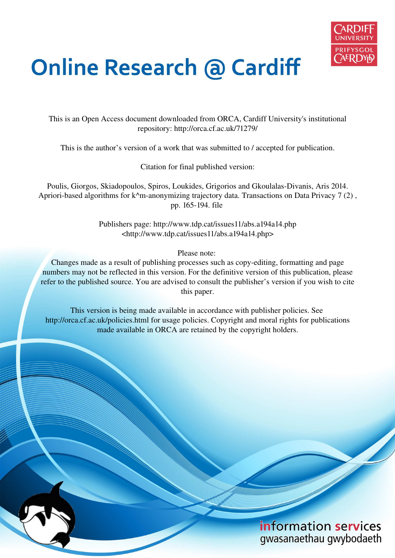

# **Online Research @ Cardiff**

This is an Open Access document downloaded from ORCA, Cardiff University's institutional repository: http://orca.cf.ac.uk/71279/

This is the author's version of a work that was submitted to / accepted for publication.

Citation for final published version:

Poulis, Giorgos, Skiadopoulos, Spiros, Loukides, Grigorios and Gkoulalas-Divanis, Aris 2014. Apriori-based algorithms for k^m-anonymizing trajectory data. Transactions on Data Privacy 7 (2), pp. 165-194. file

> Publishers page: http://www.tdp.cat/issues11/abs.a194a14.php <http://www.tdp.cat/issues11/abs.a194a14.php>

> > Please note:

Changes made as a result of publishing processes such as copy-editing, formatting and page numbers may not be reflected in this version. For the definitive version of this publication, please refer to the published source. You are advised to consult the publisher's version if you wish to cite this paper.

This version is being made available in accordance with publisher policies. See http://orca.cf.ac.uk/policies.html for usage policies. Copyright and moral rights for publications made available in ORCA are retained by the copyright holders.

# information services gwasanaethau gwybodaeth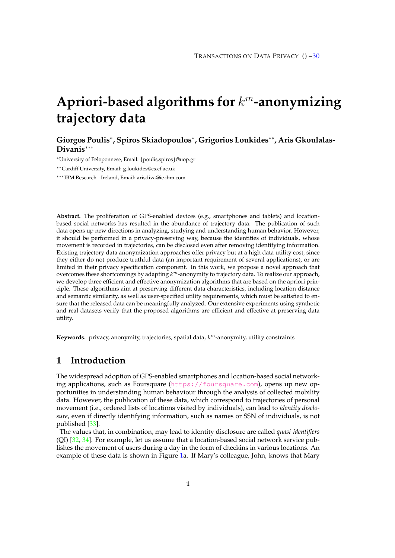# **Apriori-based algorithms for** k <sup>m</sup>**-anonymizing trajectory data**

**Giorgos Poulis**<sup>∗</sup> **, Spiros Skiadopoulos**<sup>∗</sup> **, Grigorios Loukides**∗∗**, Aris Gkoulalas-Divanis**∗∗∗

<sup>∗</sup>University of Peloponnese, Email: {poulis,spiros}@uop.gr

∗∗Cardiff University, Email: g.loukides@cs.cf.ac.uk

∗∗∗IBM Research - Ireland, Email: arisdiva@ie.ibm.com

**Abstract.** The proliferation of GPS-enabled devices (e.g., smartphones and tablets) and locationbased social networks has resulted in the abundance of trajectory data. The publication of such data opens up new directions in analyzing, studying and understanding human behavior. However, it should be performed in a privacy-preserving way, because the identities of individuals, whose movement is recorded in trajectories, can be disclosed even after removing identifying information. Existing trajectory data anonymization approaches offer privacy but at a high data utility cost, since they either do not produce truthful data (an important requirement of several applications), or are limited in their privacy specification component. In this work, we propose a novel approach that overcomes these shortcomings by adapting  $k^m$ -anonymity to trajectory data. To realize our approach, we develop three efficient and effective anonymization algorithms that are based on the apriori principle. These algorithms aim at preserving different data characteristics, including location distance and semantic similarity, as well as user-specified utility requirements, which must be satisfied to ensure that the released data can be meaningfully analyzed. Our extensive experiments using synthetic and real datasets verify that the proposed algorithms are efficient and effective at preserving data utility.

Keywords. privacy, anonymity, trajectories, spatial data,  $k^m$ -anonymity, utility constraints

# <span id="page-1-0"></span>**1 Introduction**

The widespread adoption of GPS-enabled smartphones and location-based social networking applications, such as Foursquare (<https://foursquare.com>), opens up new opportunities in understanding human behaviour through the analysis of collected mobility data. However, the publication of these data, which correspond to trajectories of personal movement (i.e., ordered lists of locations visited by individuals), can lead to *identity disclosure*, even if directly identifying information, such as names or SSN of individuals, is not published [\[33\]](#page-29-0).

The values that, in combination, may lead to identity disclosure are called *quasi-identifiers* (QI)  $[32, 34]$  $[32, 34]$ . For example, let us assume that a location-based social network service publishes the movement of users during a day in the form of checkins in various locations. An example of these data is shown in Figure [1a](#page-2-0). If Mary's colleague, John, knows that Mary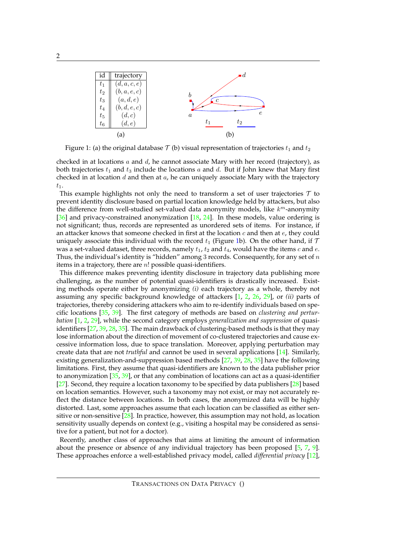<span id="page-2-0"></span>

Figure 1: (a) the original database  $\mathcal{T}$  (b) visual representation of trajectories  $t_1$  and  $t_2$ 

checked in at locations  $a$  and  $d$ , he cannot associate Mary with her record (trajectory), as both trajectories  $t_1$  and  $t_3$  include the locations a and d. But if John knew that Mary first checked in at location  $d$  and then at  $a$ , he can uniquely associate Mary with the trajectory  $t_1$ .

This example highlights not only the need to transform a set of user trajectories  $\tau$  to prevent identity disclosure based on partial location knowledge held by attackers, but also the difference from well-studied set-valued data anonymity models, like  $k^m$ -anonymity [\[36\]](#page-30-1) and privacy-constrained anonymization [\[18,](#page-29-3) [24\]](#page-29-4). In these models, value ordering is not significant; thus, records are represented as unordered sets of items. For instance, if an attacker knows that someone checked in first at the location  $c$  and then at  $e$ , they could uniquely associate this individual with the record  $t_1$  (Figure [1b](#page-2-0)). On the other hand, if T was a set-valued dataset, three records, namely  $t_1$ ,  $t_2$  and  $t_4$ , would have the items  $c$  and  $e$ . Thus, the individual's identity is "hidden" among 3 records. Consequently, for any set of  $n$ items in a trajectory, there are  $n!$  possible quasi-identifiers.

This difference makes preventing identity disclosure in trajectory data publishing more challenging, as the number of potential quasi-identifiers is drastically increased. Existing methods operate either by anonymizing *(i)* each trajectory as a whole, thereby not assuming any specific background knowledge of attackers [\[1,](#page-28-0) [2,](#page-28-1) [26,](#page-29-5) [29\]](#page-29-6), or *(ii)* parts of trajectories, thereby considering attackers who aim to re-identify individuals based on specific locations [\[35,](#page-29-7) [39\]](#page-30-2). The first category of methods are based on *clustering and perturbation* [\[1,](#page-28-0) [2,](#page-28-1) [29\]](#page-29-6), while the second category employs *generalization and suppression* of quasiidentifiers [\[27,](#page-29-8) [39,](#page-30-2) [28,](#page-29-9) [35\]](#page-29-7). The main drawback of clustering-based methods is that they may lose information about the direction of movement of co-clustered trajectories and cause excessive information loss, due to space translation. Moreover, applying perturbation may create data that are not *truthful* and cannot be used in several applications [\[14\]](#page-29-10). Similarly, existing generalization-and-suppression based methods [\[27,](#page-29-8) [39,](#page-30-2) [28,](#page-29-9) [35\]](#page-29-7) have the following limitations. First, they assume that quasi-identifiers are known to the data publisher prior to anonymization  $[35, 39]$  $[35, 39]$  $[35, 39]$ , or that any combination of locations can act as a quasi-identifier [\[27\]](#page-29-8). Second, they require a location taxonomy to be specified by data publishers [\[28\]](#page-29-9) based on location semantics. However, such a taxonomy may not exist, or may not accurately reflect the distance between locations. In both cases, the anonymized data will be highly distorted. Last, some approaches assume that each location can be classified as either sensitive or non-sensitive  $[28]$ . In practice, however, this assumption may not hold, as location sensitivity usually depends on context (e.g., visiting a hospital may be considered as sensitive for a patient, but not for a doctor).

Recently, another class of approaches that aims at limiting the amount of information about the presence or absence of any individual trajectory has been proposed [\[5,](#page-28-2) [7,](#page-28-3) [9\]](#page-28-4). These approaches enforce a well-established privacy model, called *differential privacy* [\[12\]](#page-28-5),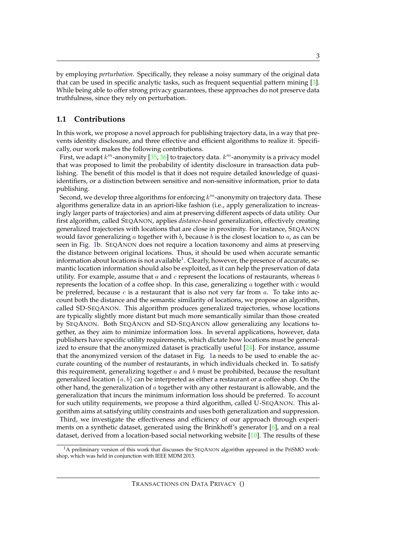by employing *perturbation*. Specifically, they release a noisy summary of the original data that can be used in specific analytic tasks, such as frequent sequential pattern mining [\[3\]](#page-28-6). While being able to offer strong privacy guarantees, these approaches do not preserve data truthfulness, since they rely on perturbation.

#### **1.1 Contributions**

In this work, we propose a novel approach for publishing trajectory data, in a way that prevents identity disclosure, and three effective and efficient algorithms to realize it. Specifically, our work makes the following contributions.

First, we adapt  $k^m$ -anonymity [\[35,](#page-29-7) [36\]](#page-30-1) to trajectory data.  $k^m$ -anonymity is a privacy model that was proposed to limit the probability of identity disclosure in transaction data publishing. The benefit of this model is that it does not require detailed knowledge of quasiidentifiers, or a distinction between sensitive and non-sensitive information, prior to data publishing.

Second, we develop three algorithms for enforcing  $k^m$ -anonymity on trajectory data. These algorithms generalize data in an apriori-like fashion (i.e., apply generalization to increasingly larger parts of trajectories) and aim at preserving different aspects of data utility. Our first algorithm, called SEQANON, applies *distance-based* generalization, effectively creating generalized trajectories with locations that are close in proximity. For instance, SEQANON would favor generalizing  $a$  together with  $b$ , because  $b$  is the closest location to  $a$ , as can be seen in Fig. [1b](#page-2-0). SEQANON does not require a location taxonomy and aims at preserving the distance between original locations. Thus, it should be used when accurate semantic information about locations is not available $^1$  $^1$ . Clearly, however, the presence of accurate, semantic location information should also be exploited, as it can help the preservation of data utility. For example, assume that  $a$  and  $c$  represent the locations of restaurants, whereas  $b$ represents the location of a coffee shop. In this case, generalizing  $a$  together with  $c$  would be preferred, because  $c$  is a restaurant that is also not very far from  $a$ . To take into account both the distance and the semantic similarity of locations, we propose an algorithm, called SD-SEQANON. This algorithm produces generalized trajectories, whose locations are typically slightly more distant but much more semantically similar than those created by SEQANON. Both SEQANON and SD-SEQANON allow generalizing any locations together, as they aim to minimize information loss. In several applications, however, data publishers have specific utility requirements, which dictate how locations must be generalized to ensure that the anonymized dataset is practically useful  $[24]$ . For instance, assume that the anonymized version of the dataset in Fig. [1a](#page-2-0) needs to be used to enable the accurate counting of the number of restaurants, in which individuals checked in. To satisfy this requirement, generalizing together  $a$  and  $b$  must be prohibited, because the resultant generalized location  $\{a, b\}$  can be interpreted as either a restaurant or a coffee shop. On the other hand, the generalization of  $a$  together with any other restaurant is allowable, and the generalization that incurs the minimum information loss should be preferred. To account for such utility requirements, we propose a third algorithm, called U-SEQANON. This algorithm aims at satisfying utility constraints and uses both generalization and suppression.

Third, we investigate the effectiveness and efficiency of our approach through experiments on a synthetic dataset, generated using the Brinkhoff's generator [\[6\]](#page-28-7), and on a real dataset, derived from a location-based social networking website  $[10]$ . The results of these

<span id="page-3-0"></span><sup>&</sup>lt;sup>1</sup>A preliminary version of this work that discusses the SEQANON algorithm appeared in the PriSMO workshop, which was held in conjunction with IEEE MDM 2013.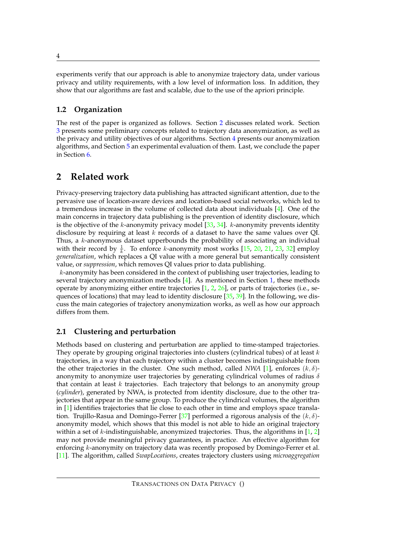experiments verify that our approach is able to anonymize trajectory data, under various privacy and utility requirements, with a low level of information loss. In addition, they show that our algorithms are fast and scalable, due to the use of the apriori principle.

# **1.2 Organization**

The rest of the paper is organized as follows. Section [2](#page-4-0) discusses related work. Section [3](#page-6-0) presents some preliminary concepts related to trajectory data anonymization, as well as the privacy and utility objectives of our algorithms. Section [4](#page-12-0) presents our anonymization algorithms, and Section [5](#page-16-0) an experimental evaluation of them. Last, we conclude the paper in Section [6.](#page-28-9)

# <span id="page-4-0"></span>**2 Related work**

Privacy-preserving trajectory data publishing has attracted significant attention, due to the pervasive use of location-aware devices and location-based social networks, which led to a tremendous increase in the volume of collected data about individuals [\[4\]](#page-28-10). One of the main concerns in trajectory data publishing is the prevention of identity disclosure, which is the objective of the k-anonymity privacy model  $[33, 34]$  $[33, 34]$  $[33, 34]$ . k-anonymity prevents identity disclosure by requiring at least  $k$  records of a dataset to have the same values over QI. Thus, a k-anonymous dataset upperbounds the probability of associating an individual with their record by  $\frac{1}{k}$ . To enforce k-anonymity most works [\[15,](#page-29-11) [20,](#page-29-12) [21,](#page-29-13) [23,](#page-29-14) [32\]](#page-29-1) employ *generalization*, which replaces a QI value with a more general but semantically consistent value, or *suppression*, which removes QI values prior to data publishing.

k-anonymity has been considered in the context of publishing user trajectories, leading to several trajectory anonymization methods  $[4]$ . As mentioned in Section [1,](#page-1-0) these methods operate by anonymizing either entire trajectories  $[1, 2, 26]$  $[1, 2, 26]$  $[1, 2, 26]$  $[1, 2, 26]$  $[1, 2, 26]$ , or parts of trajectories (i.e., se-quences of locations) that may lead to identity disclosure [\[35,](#page-29-7) [39\]](#page-30-2). In the following, we discuss the main categories of trajectory anonymization works, as well as how our approach differs from them.

# <span id="page-4-1"></span>**2.1 Clustering and perturbation**

Methods based on clustering and perturbation are applied to time-stamped trajectories. They operate by grouping original trajectories into clusters (cylindrical tubes) of at least  $k$ trajectories, in a way that each trajectory within a cluster becomes indistinguishable from the other trajectories in the cluster. One such method, called *NWA* [\[1\]](#page-28-0), enforces  $(k, \delta)$ anonymity to anonymize user trajectories by generating cylindrical volumes of radius  $\delta$ that contain at least  $k$  trajectories. Each trajectory that belongs to an anonymity group (*cylinder*), generated by NWA, is protected from identity disclosure, due to the other trajectories that appear in the same group. To produce the cylindrical volumes, the algorithm in [\[1\]](#page-28-0) identifies trajectories that lie close to each other in time and employs space transla-tion. Trujillo-Rasua and Domingo-Ferrer [\[37\]](#page-30-3) performed a rigorous analysis of the  $(k, \delta)$ anonymity model, which shows that this model is not able to hide an original trajectory within a set of k-indistinguishable, anonymized trajectories. Thus, the algorithms in  $[1, 2]$  $[1, 2]$ may not provide meaningful privacy guarantees, in practice. An effective algorithm for enforcing  $k$ -anonymity on trajectory data was recently proposed by Domingo-Ferrer et al. [\[11\]](#page-28-11). The algorithm, called *SwapLocations*, creates trajectory clusters using *microaggregation*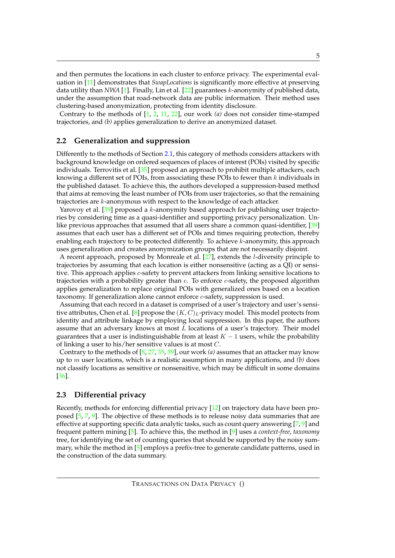and then permutes the locations in each cluster to enforce privacy. The experimental evaluation in [\[11\]](#page-28-11) demonstrates that *SwapLocations* is significantly more effective at preserving data utility than *NWA* [\[1\]](#page-28-0). Finally, Lin et al. [\[22\]](#page-29-15) guarantees k-anonymity of published data, under the assumption that road-network data are public information. Their method uses clustering-based anonymization, protecting from identity disclosure.

Contrary to the methods of [\[1,](#page-28-0) [2,](#page-28-1) [11,](#page-28-11) [22\]](#page-29-15), our work *(a)* does not consider time-stamped trajectories, and *(b)* applies generalization to derive an anonymized dataset.

#### **2.2 Generalization and suppression**

Differently to the methods of Section [2.1,](#page-4-1) this category of methods considers attackers with background knowledge on ordered sequences of places of interest (POIs) visited by specific individuals. Terrovitis et al.  $[35]$  proposed an approach to prohibit multiple attackers, each knowing a different set of POIs, from associating these POIs to fewer than  $k$  individuals in the published dataset. To achieve this, the authors developed a suppression-based method that aims at removing the least number of POIs from user trajectories, so that the remaining trajectories are k-anonymous with respect to the knowledge of each attacker.

Yarovoy et al. [\[39\]](#page-30-2) proposed a k-anonymity based approach for publishing user trajectories by considering time as a quasi-identifier and supporting privacy personalization. Unlike previous approaches that assumed that all users share a common quasi-identifier, [\[39\]](#page-30-2) assumes that each user has a different set of POIs and times requiring protection, thereby enabling each trajectory to be protected differently. To achieve k-anonymity, this approach uses generalization and creates anonymization groups that are not necessarily disjoint.

A recent approach, proposed by Monreale et al.  $[27]$ , extends the *l*-diversity principle to trajectories by assuming that each location is either nonsensitive (acting as a QI) or sensitive. This approach applies *c*-safety to prevent attackers from linking sensitive locations to trajectories with a probability greater than c. To enforce c-safety, the proposed algorithm applies generalization to replace original POIs with generalized ones based on a location taxonomy. If generalization alone cannot enforce  $c$ -safety, suppression is used.

Assuming that each record in a dataset is comprised of a user's trajectory and user's sensi-tive attributes, Chen et al. [\[8\]](#page-28-12) propose the  $(K, C)_L$ -privacy model. This model protects from identity and attribute linkage by employing local suppression. In this paper, the authors assume that an adversary knows at most  $L$  locations of a user's trajectory. Their model guarantees that a user is indistinguishable from at least  $K - 1$  users, while the probability of linking a user to his/her sensitive values is at most C.

Contrary to the methods of [\[8,](#page-28-12) [27,](#page-29-8) [35,](#page-29-7) [39\]](#page-30-2), our work *(a)* assumes that an attacker may know up to m user locations, which is a realistic assumption in many applications, and *(b)* does not classify locations as sensitive or nonsensitive, which may be difficult in some domains [\[36\]](#page-30-1).

## **2.3 Differential privacy**

Recently, methods for enforcing differential privacy [\[12\]](#page-28-5) on trajectory data have been proposed [\[5,](#page-28-2) [7,](#page-28-3) [9\]](#page-28-4). The objective of these methods is to release noisy data summaries that are effective at supporting specific data analytic tasks, such as count query answering  $[7, 9]$  $[7, 9]$  and frequent pattern mining [\[5\]](#page-28-2). To achieve this, the method in [\[9\]](#page-28-4) uses a *context-free*, *taxonomy* tree, for identifying the set of counting queries that should be supported by the noisy summary, while the method in  $[5]$  employs a prefix-tree to generate candidate patterns, used in the construction of the data summary.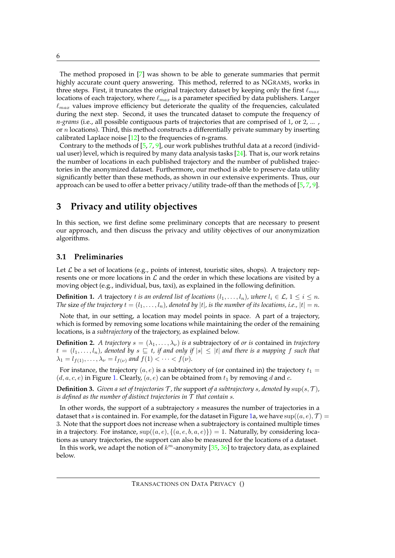The method proposed in [\[7\]](#page-28-3) was shown to be able to generate summaries that permit highly accurate count query answering. This method, referred to as NGRAMS, works in three steps. First, it truncates the original trajectory dataset by keeping only the first  $\ell_{max}$ locations of each trajectory, where  $\ell_{max}$  is a parameter specified by data publishers. Larger  $\ell_{max}$  values improve efficiency but deteriorate the quality of the frequencies, calculated during the next step. Second, it uses the truncated dataset to compute the frequency of *n-grams* (i.e., all possible contiguous parts of trajectories that are comprised of 1, or 2, ... , or  $n$  locations). Third, this method constructs a differentially private summary by inserting calibrated Laplace noise [\[12\]](#page-28-5) to the frequencies of n-grams.

Contrary to the methods of  $[5, 7, 9]$  $[5, 7, 9]$  $[5, 7, 9]$  $[5, 7, 9]$ , our work publishes truthful data at a record (individual user) level, which is required by many data analysis tasks  $[24]$ . That is, our work retains the number of locations in each published trajectory and the number of published trajectories in the anonymized dataset. Furthermore, our method is able to preserve data utility significantly better than these methods, as shown in our extensive experiments. Thus, our approach can be used to offer a better privacy/utility trade-off than the methods of  $[5, 7, 9]$  $[5, 7, 9]$  $[5, 7, 9]$  $[5, 7, 9]$  $[5, 7, 9]$ .

# <span id="page-6-0"></span>**3 Privacy and utility objectives**

In this section, we first define some preliminary concepts that are necessary to present our approach, and then discuss the privacy and utility objectives of our anonymization algorithms.

### **3.1 Preliminaries**

Let  $\mathcal L$  be a set of locations (e.g., points of interest, touristic sites, shops). A trajectory represents one or more locations in  $\mathcal L$  and the order in which these locations are visited by a moving object (e.g., individual, bus, taxi), as explained in the following definition.

**Definition 1.** *A* trajectory *t is an ordered list of locations*  $(l_1, \ldots, l_n)$ *, where*  $l_i \in \mathcal{L}$ *,*  $1 \leq i \leq n$ *. The* size of the trajectory  $t = (l_1, \ldots, l_n)$ , denoted by  $|t|$ , is the number of its locations, i.e.,  $|t| = n$ .

Note that, in our setting, a location may model points in space. A part of a trajectory, which is formed by removing some locations while maintaining the order of the remaining locations, is a *subtrajectory* of the trajectory, as explained below.

**Definition 2.** *A trajectory*  $s = (\lambda_1, \dots, \lambda_\nu)$  *is a* subtrajectory of *or is* contained in *trajectory*  $t = (l_1, \ldots, l_n)$ , denoted by  $s \subseteq t$ , if and only if  $|s| \leq |t|$  and there is a mapping f such that  $\lambda_1 = l_{f(1)}, \dots, \lambda_{\nu} = l_{f(\nu)}$  and  $f(1) < \dots < f(\nu)$ .

For instance, the trajectory  $(a, e)$  is a subtrajectory of (or contained in) the trajectory  $t_1 =$  $(d, a, c, e)$  in Figure [1.](#page-2-0) Clearly,  $(a, e)$  can be obtained from  $t_1$  by removing d and c.

**Definition 3.** *Given a set of trajectories* T, the support *of a subtrajectory s, denoted by*  $\sup(s, \mathcal{T})$ *, is defined as the number of distinct trajectories in*  $\widetilde{\mathcal{T}}$  *that contain s.* 

In other words, the support of a subtrajectory s measures the number of trajectories in a dataset that s is contained in. For example, for the dataset in Figure [1a](#page-2-0), we have  $\sup((a, e), \mathcal{T})$ 3. Note that the support does not increase when a subtrajectory is contained multiple times in a trajectory. For instance,  $\sup((a, e), \{(a, e, b, a, e)\}) = 1$ . Naturally, by considering locations as unary trajectories, the support can also be measured for the locations of a dataset.

In this work, we adapt the notion of  $k^m$ -anonymity  $[35, 36]$  $[35, 36]$  to trajectory data, as explained below.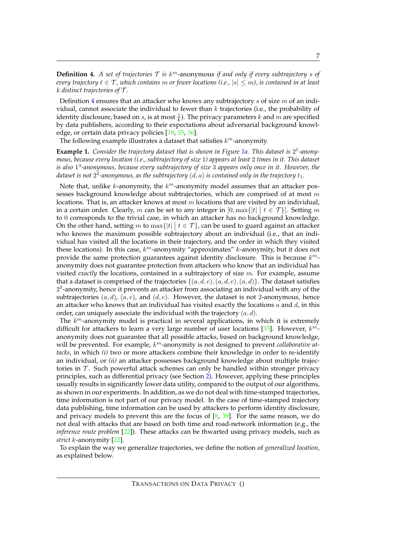<span id="page-7-0"></span>**Definition 4.** A set of trajectories  $T$  is  $k^m$ -anonymous if and only if every subtrajectory s of *every trajectory*  $t \in \mathcal{T}$ , which contains m or fewer locations (i.e.,  $|s| \leq m$ ), is contained in at least k *distinct trajectories of* T *.*

Definition [4](#page-7-0) ensures that an attacker who knows any subtrajectory  $s$  of size  $m$  of an individual, cannot associate the individual to fewer than  $k$  trajectories (i.e., the probability of identity disclosure, based on  $s$ , is at most  $\frac{1}{k}$ ). The privacy parameters  $k$  and  $m$  are specified by data publishers, according to their expectations about adversarial background knowl-edge, or certain data privacy policies [\[18,](#page-29-3) [35,](#page-29-7) [36\]](#page-30-1).

The following example illustrates a dataset that satisfies  $k^m$ -anonymity.

**Example 1.** Consider the trajectory dataset that is shown in Figure [1a](#page-2-0). This dataset is 2<sup>1</sup>-anony*mous, because every location (i.e., subtrajectory of size* 1*) appears at least* 2 *times in it. This dataset is also* 1 3 *-anonymous, because every subtrajectory of size* 3 *appears only once in it. However, the* dataset is not  $2^2$ -anonymous, as the subtrajectory  $(d,a)$  is contained only in the trajectory  $t_1.$ 

Note that, unlike  $k$ -anonymity, the  $k^m$ -anonymity model assumes that an attacker possesses background knowledge about subtrajectories, which are comprised of at most  $m$ locations. That is, an attacker knows at most  $m$  locations that are visited by an individual, in a certain order. Clearly, m can be set to any integer in  $[0, \max\{|t| \mid t \in \mathcal{T}\}]$ . Setting m to 0 corresponds to the trivial case, in which an attacker has no background knowledge. On the other hand, setting m to  $\max\{|t| \mid t \in \mathcal{T}\}$ , can be used to guard against an attacker who knows the maximum possible subtrajectory about an individual (i.e., that an individual has visited all the locations in their trajectory, and the order in which they visited these locations). In this case,  $k^m$ -anonymity "approximates"  $k$ -anonymity, but it does not provide the same protection guarantees against identity disclosure. This is because  $k^m$ anonymity does not guarantee protection from attackers who know that an individual has visited *exactly* the locations, contained in a subtrajectory of size m. For example, assume that a dataset is comprised of the trajectories  $\{(a, d, e), (a, d, e), (a, d)\}\$ . The dataset satisfies  $2<sup>3</sup>$ -anonymity, hence it prevents an attacker from associating an individual with any of the subtrajectories  $(a, d)$ ,  $(a, e)$ , and  $(d, e)$ . However, the dataset is not 2-anonymous, hence an attacker who knows that an individual has visited exactly the locations  $a$  and  $d$ , in this order, can uniquely associate the individual with the trajectory  $(a, d)$ .

The  $k<sup>m</sup>$ -anonymity model is practical in several applications, in which it is extremely difficult for attackers to learn a very large number of user locations [\[35\]](#page-29-7). However,  $k^m$ anonymity does not guarantee that all possible attacks, based on background knowledge, will be prevented. For example,  $k^m$ -anonymity is not designed to prevent *collaborative attacks*, in which *(i)* two or more attackers combine their knowledge in order to re-identify an individual, or *(ii)* an attacker possesses background knowledge about multiple trajectories in  $\mathcal T$ . Such powerful attack schemes can only be handled within stronger privacy principles, such as differential privacy (see Section [2\)](#page-4-0). However, applying these principles usually results in significantly lower data utility, compared to the output of our algorithms, as shown in our experiments. In addition, as we do not deal with time-stamped trajectories, time information is not part of our privacy model. In the case of time-stamped trajectory data publishing, time information can be used by attackers to perform identity disclosure, and privacy models to prevent this are the focus of  $[8, 39]$  $[8, 39]$ . For the same reason, we do not deal with attacks that are based on both time and road-network information (e.g., the *inference route problem* [\[22\]](#page-29-15)). These attacks can be thwarted using privacy models, such as *strict* k-anonymity [\[22\]](#page-29-15).

To explain the way we generalize trajectories, we define the notion of *generalized location*, as explained below.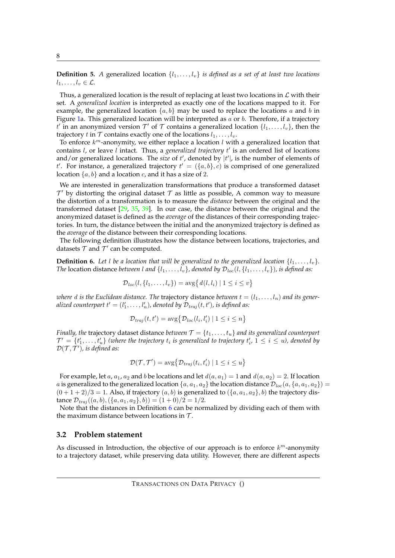**Definition 5.** *A* generalized location  $\{l_1, \ldots, l_v\}$  is defined as a set of at least two locations  $l_1, \ldots, l_v \in \mathcal{L}$ .

Thus, a generalized location is the result of replacing at least two locations in  $\mathcal L$  with their set. A *generalized location* is interpreted as exactly one of the locations mapped to it. For example, the generalized location  $\{a, b\}$  may be used to replace the locations a and b in Figure [1a](#page-2-0). This generalized location will be interpreted as  $a$  or  $b$ . Therefore, if a trajectory  $t'$  in an anonymized version  $\mathcal{T}'$  of  $\mathcal T$  contains a generalized location  $\{l_1,\ldots,l_v\}$ , then the trajectory t in  $T$  contains exactly one of the locations  $l_1, \ldots, l_v$ .

To enforce  $k^m$ -anonymity, we either replace a location  $l$  with a generalized location that contains *l*, or leave *l* intact. Thus, a *generalized trajectory t'* is an ordered list of locations and/or generalized locations. The *size* of  $t'$ , denoted by  $|t'|$ , is the number of elements of t'. For instance, a generalized trajectory  $t' = (\{a, b\}, c)$  is comprised of one generalized location  $\{a, b\}$  and a location c, and it has a size of 2.

We are interested in generalization transformations that produce a transformed dataset  $\mathcal{T}'$  by distorting the original dataset  $\mathcal T$  as little as possible, A common way to measure the distortion of a transformation is to measure the *distance* between the original and the transformed dataset  $[29, 35, 39]$  $[29, 35, 39]$  $[29, 35, 39]$  $[29, 35, 39]$ . In our case, the distance between the original and the anonymized dataset is defined as the *average* of the distances of their corresponding trajectories. In turn, the distance between the initial and the anonymized trajectory is defined as the *average* of the distance between their corresponding locations.

The following definition illustrates how the distance between locations, trajectories, and datasets  $T$  and  $T'$  can be computed.

<span id="page-8-0"></span>**Definition 6.** Let *l* be a location that will be generalized to the generalized location  $\{l_1, \ldots, l_v\}$ . *The* location distance *between l* and  $\{l_1, \ldots, l_v\}$ , denoted by  $\mathcal{D}_{loc}(l, \{l_1, \ldots, l_v\})$ , is defined as:

$$
\mathcal{D}_{loc}(l, \{l_1, \ldots, l_v\}) = \arg\big\{d(l, l_i) \mid 1 \leq i \leq v\big\}
$$

*where* d is the Euclidean distance. The trajectory distance between  $t = (l_1, \ldots, l_n)$  and its generalized counterpart  $t'=(l'_1,\ldots,l'_n)$ , denoted by  $\mathcal{D}_{traj}(t,t')$ , is defined as:

$$
\mathcal{D}_{\text{traj}}(t, t') = \text{avg} \big\{ \mathcal{D}_{\text{loc}}(l_i, l'_i) \mid 1 \leq i \leq n \big\}
$$

*Finally, the* trajectory dataset distance *between*  $\mathcal{T} = \{t_1, \ldots, t_u\}$  *and its generalized counterpart*  $\mathcal{T}' = \{t'_1, \ldots, t'_u\}$  (where the trajectory  $t_i$  is generalized to trajectory  $t'_i$ ,  $1 \leq i \leq u$ ), denoted by  $\mathcal{D}(\mathcal{T}, \mathcal{T}'),$  is defined as:

$$
\mathcal{D}(\mathcal{T}, \mathcal{T}') = \arg \{ \mathcal{D}_{traj}(t_i, t'_i) \mid 1 \leq i \leq u \}
$$

For example, let a,  $a_1$ ,  $a_2$  and b be locations and let  $d(a, a_1) = 1$  and  $d(a, a_2) = 2$ . If location a is generalized to the generalized location  $\{a, a_1, a_2\}$  the location distance  $\mathcal{D}_{loc}(a, \{a, a_1, a_2\}) =$  $(0+1+2)/3=1$ . Also, if trajectory  $(a, b)$  is generalized to  $({a, a_1, a_2}, b)$  the trajectory distance  $\mathcal{D}_{traj}((a, b), (\{a, a_1, a_2\}, b)) = (1 + 0)/2 = 1/2.$ 

Note that the distances in Definition  $6$  can be normalized by dividing each of them with the maximum distance between locations in  $\mathcal{T}$ .

#### **3.2 Problem statement**

As discussed in Introduction, the objective of our approach is to enforce  $k^m$ -anonymity to a trajectory dataset, while preserving data utility. However, there are different aspects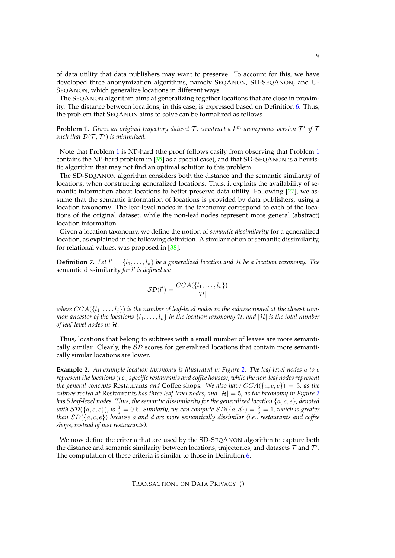of data utility that data publishers may want to preserve. To account for this, we have developed three anonymization algorithms, namely SEQANON, SD-SEQANON, and U-SEQANON, which generalize locations in different ways.

The SEQANON algorithm aims at generalizing together locations that are close in proximity. The distance between locations, in this case, is expressed based on Definition [6.](#page-8-0) Thus, the problem that SEQANON aims to solve can be formalized as follows.

<span id="page-9-0"></span>**Problem 1.** Given an original trajectory dataset  $\mathcal{T}$ , construct a  $k^m$ -anonymous version  $\mathcal{T}'$  of  $\mathcal{T}$ such that  $\mathcal{D}(\mathcal{T}, \mathcal{T}')$  is minimized.

Note that Problem [1](#page-9-0) is NP-hard (the proof follows easily from observing that Problem [1](#page-9-0) contains the NP-hard problem in  $[35]$  as a special case), and that SD-SEQANON is a heuristic algorithm that may not find an optimal solution to this problem.

The SD-SEQANON algorithm considers both the distance and the semantic similarity of locations, when constructing generalized locations. Thus, it exploits the availability of semantic information about locations to better preserve data utility. Following [\[27\]](#page-29-8), we assume that the semantic information of locations is provided by data publishers, using a location taxonomy. The leaf-level nodes in the taxonomy correspond to each of the locations of the original dataset, while the non-leaf nodes represent more general (abstract) location information.

Given a location taxonomy, we define the notion of *semantic dissimilarity* for a generalized location, as explained in the following definition. A similar notion of semantic dissimilarity, for relational values, was proposed in [\[38\]](#page-30-4).

<span id="page-9-1"></span>**Definition 7.** Let  $l' = \{l_1, \ldots, l_v\}$  be a generalized location and H be a location taxonomy. The semantic dissimilarity *for* l ′ *is defined as:*

$$
\mathcal{SD}(l') = \frac{CCA(\lbrace l_1, \ldots, l_v \rbrace)}{|\mathcal{H}|}
$$

where  $CCA({l_1,...,l_j})$  is the number of leaf-level nodes in the subtree rooted at the closest com*mon ancestor of the locations*  $\{l_1, \ldots, l_v\}$  *in the location taxonomy* H, and  $|H|$  *is the total number of leaf-level nodes in* H*.*

Thus, locations that belong to subtrees with a small number of leaves are more semantically similar. Clearly, the  $SD$  scores for generalized locations that contain more semantically similar locations are lower.

**Example 2.** *An example location taxonomy is illustrated in Figure [2.](#page-10-0) The leaf-level nodes* a *to* e *represent the locations (i.e., specific restaurants and coffee houses), while the non-leaf nodes represent the general concepts* Restaurants *and* Coffee shops. We also have  $CCA({a, c, e}) = 3$ , as the *subtree rooted at* Restaurants *has three leaf-level nodes, and*  $|\mathcal{H}| = 5$ , *as the taxonomy in Figure* [2](#page-10-0) *has 5 leaf-level nodes. Thus, the semantic dissimilarity for the generalized location*  $\{a, c, e\}$ *, denoted* with  $\mathcal{SD}(\{a,c,e\})$ , is  $\frac{3}{5}=0.6$ *. Similarly, we can compute*  $\mathit{SD}(\{a,d\})=\frac{5}{5}=1$ , which is greater *than* SD({a, c, e}) *because* a *and* d *are more semantically dissimilar (i.e., restaurants and coffee shops, instead of just restaurants).*

We now define the criteria that are used by the SD-SEQANON algorithm to capture both the distance and semantic similarity between locations, trajectories, and datasets  ${\cal T}$  and  ${\cal T}'$ . The computation of these criteria is similar to those in Definition [6.](#page-8-0)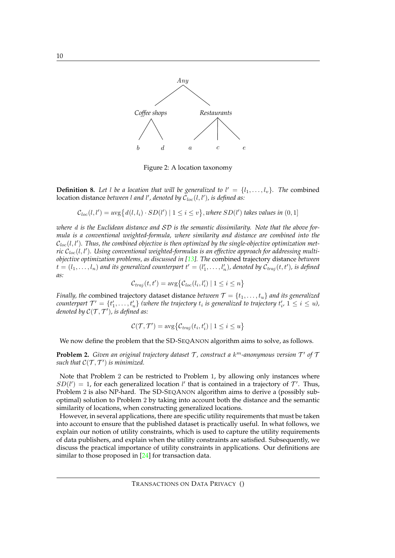<span id="page-10-0"></span>

Figure 2: A location taxonomy

**Definition 8.** Let l be a location that will be generalized to  $l' = \{l_1, \ldots, l_v\}$ . The combined location distance between l and l', denoted by  $\mathcal{C}_{loc}(l,l')$ , is defined as:

$$
C_{loc}(l,l') = \text{avg} \{ d(l,l_i) \cdot SD(l') \mid 1 \leq i \leq v \}, where SD(l') takes values in (0,1]
$$

*where* d *is the Euclidean distance and* SD *is the semantic dissimilarity. Note that the above formula is a conventional weighted-formula, where similarity and distance are combined into the*  $\mathcal{C}_{loc}(l,l')$ . Thus, the combined objective is then optimized by the single-objective optimization met $ric\ \mathcal{C}_{loc}(l,l').$  Using conventional weighted-formulas is an effective approach for addressing multi*objective optimization problems, as discussed in [\[13\]](#page-28-13). The* combined trajectory distance *between*  $t=(l_1,\ldots,l_n)$  and its generalized counterpart  $t'=(l'_1,\ldots,l'_n)$ , denoted by  $\mathcal{C}_{traj}(t,t')$ , is defined *as:*

$$
\mathcal{C}_{traj}(t, t') = \text{avg} \{ \mathcal{C}_{loc}(l_i, l'_i) \mid 1 \leq i \leq n \}
$$

*Finally, the* combined trajectory dataset distance *between*  $\mathcal{T} = \{t_1, \ldots, t_u\}$  *and its generalized* counterpart  $\mathcal{T}'=\{t'_1,\ldots,t'_u\}$  (where the trajectory  $t_i$  is generalized to trajectory  $t'_i$ ,  $1\leq i\leq u$ ), *denoted by* C(T , T ′ )*, is defined as:*

$$
\mathcal{C}(\mathcal{T}, \mathcal{T}') = \arg\{\mathcal{C}_{traj}(t_i, t'_i) \mid 1 \leq i \leq u\}
$$

We now define the problem that the SD-SEQANON algorithm aims to solve, as follows.

<span id="page-10-1"></span>**Problem 2.** Given an original trajectory dataset T, construct a  $k^m$ -anonymous version T' of T such that  $\mathcal{C}(\mathcal{T}, \mathcal{T}')$  is minimized.

Note that Problem 2 can be restricted to Problem 1, by allowing only instances where  $SD(l') = 1$ , for each generalized location l' that is contained in a trajectory of T'. Thus, Problem 2 is also NP-hard. The SD-SEQANON algorithm aims to derive a (possibly suboptimal) solution to Problem 2 by taking into account both the distance and the semantic similarity of locations, when constructing generalized locations.

However, in several applications, there are specific utility requirements that must be taken into account to ensure that the published dataset is practically useful. In what follows, we explain our notion of utility constraints, which is used to capture the utility requirements of data publishers, and explain when the utility constraints are satisfied. Subsequently, we discuss the practical importance of utility constraints in applications. Our definitions are similar to those proposed in [\[24\]](#page-29-4) for transaction data.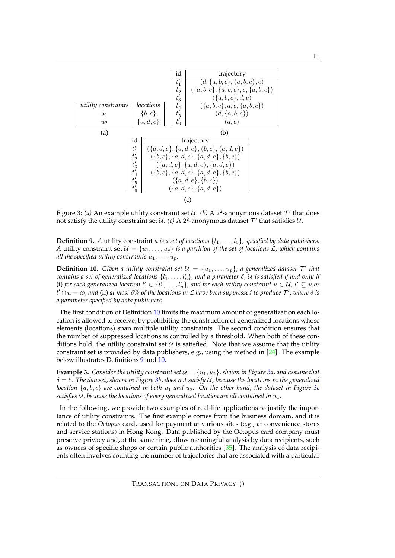<span id="page-11-2"></span>

Figure 3: *(a)* An example utility constraint set  $U$ . *(b)* A 2<sup>2</sup>-anonymous dataset  $\mathcal{T}'$  that does not satisfy the utility constraint set  $\mathcal{U}$ . (c) A  $2^2$ -anonymous dataset  $\mathcal{T}'$  that satisfies  $\mathcal{U}$ .

<span id="page-11-1"></span>**Definition 9.** *A* utility constraint u is a set of locations  $\{l_1, \ldots, l_v\}$ , specified by data publishers. *A* utility constraint set  $\mathcal{U} = \{u_1, \ldots, u_p\}$  *is a partition of the set of locations L, which contains all the specified utility constraints*  $u_1, \ldots, u_p$ .

<span id="page-11-0"></span>**Definition 10.** *Given a utility constraint set*  $\mathcal{U} = \{u_1, \ldots, u_p\}$ , a generalized dataset  $\mathcal{T}'$  that  $\it contains$  a set of generalized locations  $\{l'_1,\ldots,l'_n\}$ , and a parameter  $\delta$ ,  $\cal U$  is satisfied if and only if (i) for each generalized location  $l' \in \{l'_1, \ldots, l'_n\}$ , and for each utility constraint  $u \in U$ ,  $l' \subseteq u$  or  $d' \cap u = \varnothing$  , and (ii) at most  $\delta\%$  of the locations in  ${\mathcal L}$  have been suppressed to produce  ${\mathcal T}'$  , where  $\delta$  is *a parameter specified by data publishers.*

The first condition of Definition [10](#page-11-0) limits the maximum amount of generalization each location is allowed to receive, by prohibiting the construction of generalized locations whose elements (locations) span multiple utility constraints. The second condition ensures that the number of suppressed locations is controlled by a threshold. When both of these conditions hold, the utility constraint set  $U$  is satisfied. Note that we assume that the utility constraint set is provided by data publishers, e.g., using the method in [\[24\]](#page-29-4). The example below illustrates Definitions [9](#page-11-1) and [10.](#page-11-0)

**Example 3.** *Consider the utility constraint set*  $\mathcal{U} = \{u_1, u_2\}$ *, shown in Figure [3a](#page-11-2), and assume that* δ = 5*. The dataset, shown in Figure [3b](#page-11-2), does not satisfy* U*, because the locations in the generalized location*  $\{a, b, c\}$  *are contained in both*  $u_1$  *and*  $u_2$ . On the other hand, the dataset in Figure [3c](#page-11-2) satisfies U, because the locations of every generalized location are all contained in  $u_1$ .

In the following, we provide two examples of real-life applications to justify the importance of utility constraints. The first example comes from the business domain, and it is related to the *Octopus* card, used for payment at various sites (e.g., at convenience stores and service stations) in Hong Kong. Data published by the Octopus card company must preserve privacy and, at the same time, allow meaningful analysis by data recipients, such as owners of specific shops or certain public authorities [\[35\]](#page-29-7). The analysis of data recipients often involves counting the number of trajectories that are associated with a particular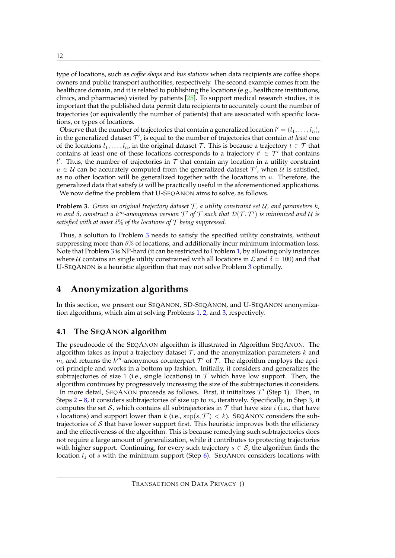type of locations, such as *coffee shops* and *bus stations* when data recipients are coffee shops owners and public transport authorities, respectively. The second example comes from the healthcare domain, and it is related to publishing the locations (e.g., healthcare institutions, clinics, and pharmacies) visited by patients  $[25]$ . To support medical research studies, it is important that the published data permit data recipients to accurately count the number of trajectories (or equivalently the number of patients) that are associated with specific locations, or types of locations.

Observe that the number of trajectories that contain a generalized location  $l' = (l_1, \ldots, l_n)$ , in the generalized dataset  $\mathcal{T}'$ , is equal to the number of trajectories that contain *at least* one of the locations  $l_1, \ldots, l_n$ , in the original dataset  $\mathcal T$ . This is because a trajectory  $t \in \mathcal T$  that contains at least one of these locations corresponds to a trajectory  $t' \in \mathcal{T}'$  that contains  $l'$ . Thus, the number of trajectories in  $T$  that contain any location in a utility constraint  $u \in \mathcal{U}$  can be accurately computed from the generalized dataset  $\mathcal{T}'$ , when  $\mathcal{U}$  is satisfied, as no other location will be generalized together with the locations in  $u$ . Therefore, the generalized data that satisfy  $U$  will be practically useful in the aforementioned applications. We now define the problem that U-SEQANON aims to solve, as follows.

<span id="page-12-1"></span>**Problem 3.** *Given an original trajectory dataset*  $T$ *, a utility constraint set*  $U$ *, and parameters*  $k$ *,*  $m$  and  $\delta$ , construct a  $k^m$ -anonymous version  $\mathcal{T}'$  of  $\mathcal T$  such that  $\mathcal{D}(\mathcal{T},\mathcal{T}')$  is minimized and  $\mathcal U$  is *satisfied with at most* δ% *of the locations of* T *being suppressed.*

Thus, a solution to Problem [3](#page-12-1) needs to satisfy the specified utility constraints, without suppressing more than  $\delta\%$  of locations, and additionally incur minimum information loss. Note that Problem [3](#page-12-1) is NP-hard (it can be restricted to Problem [1,](#page-9-0) by allowing only instances where U contains an single utility constrained with all locations in  $\mathcal L$  and  $\delta = 100$ ) and that U-SEQANON is a heuristic algorithm that may not solve Problem [3](#page-12-1) optimally.

# <span id="page-12-0"></span>**4 Anonymization algorithms**

In this section, we present our SEQANON, SD-SEQANON, and U-SEQANON anonymization algorithms, which aim at solving Problems [1,](#page-9-0) [2,](#page-10-1) and [3,](#page-12-1) respectively.

#### **4.1 The SEQANON algorithm**

The pseudocode of the SEQANON algorithm is illustrated in Algorithm SEQANON. The algorithm takes as input a trajectory dataset  $\mathcal{T}$ , and the anonymization parameters k and m, and returns the  $k^m$ -anonymous counterpart  $\mathcal{T}'$  of  $\mathcal{T}$ . The algorithm employs the apriori principle and works in a bottom up fashion. Initially, it considers and generalizes the subtrajectories of size 1 (i.e., single locations) in  $\mathcal T$  which have low support. Then, the algorithm continues by progressively increasing the size of the subtrajectories it considers.

In more detail, SEQANON proceeds as follows. First, it initializes  $\mathcal{T}'$  (Step [1\)](#page-13-0). Then, in Steps  $2 - 8$  $2 - 8$ , it considers subtrajectories of size up to m, iteratively. Specifically, in Step [3,](#page-13-3) it computes the set S, which contains all subtrajectories in  $\mathcal T$  that have size i (i.e., that have *i* locations) and support lower than *k* (i.e.,  $\sup(s, \mathcal{T}') < k$ ). SEQANON considers the subtrajectories of  $S$  that have lower support first. This heuristic improves both the efficiency and the effectiveness of the algorithm. This is because remedying such subtrajectories does not require a large amount of generalization, while it contributes to protecting trajectories with higher support. Continuing, for every such trajectory  $s \in S$ , the algorithm finds the location  $l_1$  of s with the minimum support (Step [6\)](#page-13-4). SEQANON considers locations with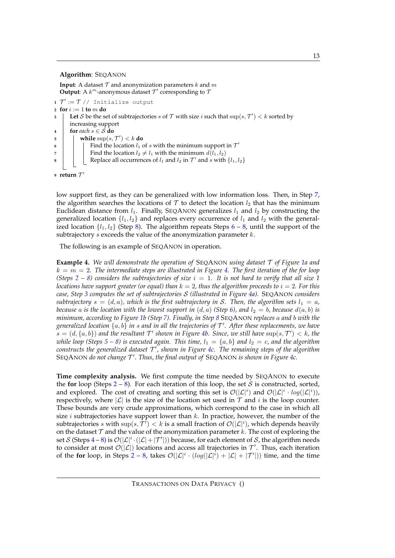#### **Algorithm**: SEQANON

**Input**: A dataset  $T$  and anonymization parameters k and m **Output**: A  $k^m$ -anonymous dataset  $\mathcal{T}'$  corresponding to  $\mathcal{T}'$ 

```
1 \mathcal{T}' := \mathcal{T} // Initialize output
2 for i := 1 to m do
3 \left| \right. Let S be the set of subtrajectories s of T with size i such that \sup(s, \mathcal{T}') < k sorted by
        increasing support
4 for each s \in S do
\begin{array}{|c|c|} \hline \texttt{5} & \texttt{[} & \texttt{while sup}(s, \mathcal{T}') < k \textbf{ do} \hline \end{array}\begin{array}{c|c} \hline \end{array} Find the location l_1 of s with the minimum support in \mathcal{T}'7 | | Find the location l_2 \neq l_1 with the minimum d(l_1, l_2)8 Replace all occurrences of l_1 and l_2 in \mathcal{T}' and s with \{l_1, l_2\}9 return T'
```
<span id="page-13-5"></span><span id="page-13-2"></span>low support first, as they can be generalized with low information loss. Then, in Step [7,](#page-13-5) the algorithm searches the locations of  $\mathcal T$  to detect the location  $l_2$  that has the minimum Euclidean distance from  $l_1$ . Finally, SEQANON generalizes  $l_1$  and  $l_2$  by constructing the generalized location  $\{l_1, l_2\}$  and replaces every occurrence of  $l_1$  and  $l_2$  with the generalized location  $\{l_1, l_2\}$  (Step [8\)](#page-13-2). The algorithm repeats Steps [6](#page-13-4) – [8,](#page-13-2) until the support of the subtrajectory  $s$  exceeds the value of the anonymization parameter  $k$ .

The following is an example of SEQANON in operation.

**Example 4.** *We will demonstrate the operation of* SEQANON *using dataset* T *of Figure [1a](#page-2-0) and*  $k = m = 2$ . The intermediate steps are illustrated in Figure [4.](#page-14-0) The first iteration of the for loop *(Steps*  $2 - 8$  $2 - 8$ *)* considers the subtrajectories of size  $i = 1$ . It is not hard to verify that all size 1 *locations have support greater (or equal) than*  $k = 2$ , thus the algorithm proceeds to  $i = 2$ . For this *case, Step [3](#page-13-3) computes the set of subtrajectories* S *(illustrated in Figure [4a](#page-14-0)).* SEQANON *considers subtrajectory*  $s = (d, a)$ *, which is the first subtrajectory in* S. Then, the algorithm sets  $l_1 = a$ , *because* a *is the location with the lowest support in*  $(d, a)$  *(Step [6\)](#page-13-4), and*  $l_2 = b$ *, because*  $d(a, b)$  *is minimum, according to Figure [1b](#page-2-0) (Step [7\)](#page-13-5). Finally, in Step [8](#page-13-2)* SEQANON *replaces* a *and* b *with the generalized location* {a, b} *in* s *and in all the trajectories of* T ′ *. After these replacements, we have*  $s = (d, \{a, b\})$  and the resultant  $\mathcal{T}'$  shown in Figure [4b](#page-14-0). Since, we still have  $\sup(s, \mathcal{T}') < k$ , the *while loop (Steps*  $5 - 8$  $5 - 8$ ) *is executed again. This time,*  $l_1 = \{a, b\}$  *and*  $l_2 = c$ *, and the algorithm constructs the generalized dataset* T ′ *, shown in Figure [4c](#page-14-0). The remaining steps of the algorithm* SEQANON *do not change* T ′ *. Thus, the final output of* SEQANON *is shown in Figure [4c](#page-14-0).*

**Time complexity analysis.** We first compute the time needed by SEQANON to execute the **for** loop (Steps  $2 - 8$  $2 - 8$ ). For each iteration of this loop, the set S is constructed, sorted, and explored. The cost of creating and sorting this set is  $\mathcal{O}(|\mathcal{L}|^i)$  and  $\mathcal{O}(|\mathcal{L}|^i \cdot log(|\mathcal{L}|^i))$ , respectively, where  $|\mathcal{L}|$  is the size of the location set used in  $\mathcal T$  and i is the loop counter. These bounds are very crude approximations, which correspond to the case in which all size  $i$  subtrajectories have support lower than  $k$ . In practice, however, the number of the subtrajectories s with  $\sup(s, \mathcal{T}') < k$  is a small fraction of  $\mathcal{O}(|\mathcal{L}|^i)$ , which depends heavily on the dataset  $T$  and the value of the anonymization parameter k. The cost of exploring the set S (Steps [4](#page-13-7) – [8\)](#page-13-2) is  $\mathcal{O}(|\mathcal{L}|^i \cdot (|\mathcal{L}| + |\mathcal{T}'|))$  because, for each element of S, the algorithm needs to consider at most  $\mathcal{O}(|\mathcal{L}|)$  locations and access all trajectories in  $\mathcal{T}'$ . Thus, each iteration of the for loop, in Steps [2](#page-13-1) – [8,](#page-13-2) takes  $\mathcal{O}(|\mathcal{L}|^i \cdot (log(|\mathcal{L}|^i) + |\mathcal{L}| + |\mathcal{T}'|))$  time, and the time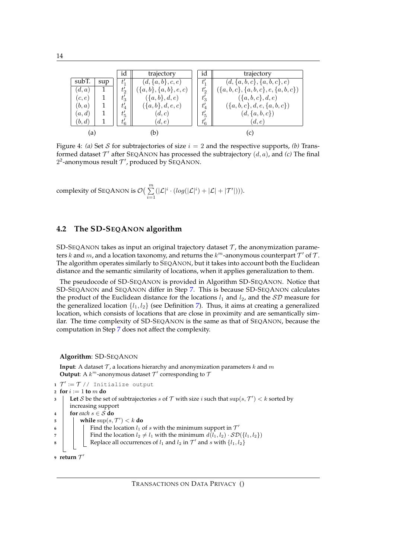<span id="page-14-0"></span>

|        |     | ıd       | trajectory                 |                  | id       | trajectory                              |
|--------|-----|----------|----------------------------|------------------|----------|-----------------------------------------|
| subT.  | sup | ť.       | $(d, \{a, b\}, c, e)$      | $t_1$            |          | $(d, \{a, b, c\}, \{a, b, c\}, e)$      |
| (d,a)  |     | $t_2'$   | $\{a, b\}, \{a, b\}, e, c$ | $t_{0}'$         |          | $({a, b, c}, {a, b, c}, {e, {a, b, c})$ |
| (c, e) |     | $t_3'$   | $({a,b},d,e)$              |                  | $t'_{3}$ | $(\{a,b,c\},d,e)$                       |
| (b,a)  |     | $t_4'$   | $(\{a,b\},d,e,c)$          | $t_{4}^{\prime}$ |          | $({a, b, c}, d, e, {a, b, c})$          |
| (a,d)  |     | $t'_{5}$ | (d,c)                      | $t_{5}'$         |          | $(d, \{a, b, c\})$                      |
| (b,d)  |     | $t'_6$   | (d, e)                     |                  | $t'_6$   | (d, e)                                  |
| a      |     |          |                            |                  |          |                                         |

Figure 4: *(a)* Set S for subtrajectories of size  $i = 2$  and the respective supports, *(b)* Transformed dataset  $\mathcal{T}'$  after SEQANON has processed the subtrajectory  $(d, a)$ , and  $(c)$  The final  $2^2$ -anonymous result  $\mathcal{T}'$ , produced by SEQANON.

complexity of SEQANON is  $\mathcal{O}(\sum^m)$  $i=1$  $(|\mathcal{L}|^i \cdot (log(|\mathcal{L}|^i) + |\mathcal{L}| + |\mathcal{T}'|))).$ 

#### **4.2 The SD-SEQANON algorithm**

SD-SEQANON takes as input an original trajectory dataset  $\mathcal T$ , the anonymization parameters k and m, and a location taxonomy, and returns the  $k^m$ -anonymous counterpart  $\mathcal{T}'$  of  $\mathcal{T}$ . The algorithm operates similarly to SEQANON, but it takes into account both the Euclidean distance and the semantic similarity of locations, when it applies generalization to them.

The pseudocode of SD-SEQANON is provided in Algorithm SD-SEQANON. Notice that SD-SEQANON and SEQANON differ in Step [7.](#page-14-1) This is because SD-SEQANON calculates the product of the Euclidean distance for the locations  $l_1$  and  $l_2$ , and the  $SD$  measure for the generalized location  $\{l_1, l_2\}$  (see Definition [7\)](#page-9-1). Thus, it aims at creating a generalized location, which consists of locations that are close in proximity and are semantically similar. The time complexity of SD-SEQANON is the same as that of SEQANON, because the computation in Step [7](#page-14-1) does not affect the complexity.

**Algorithm**: SD-SEQANON

**Input**: A dataset  $\mathcal{T}$ , a locations hierarchy and anonymization parameters  $k$  and  $m$ **Output**: A  $k^m$ -anonymous dataset  $\mathcal{T}'$  corresponding to  $\mathcal{T}'$ 

<span id="page-14-1"></span>**1**  $\mathcal{T}' := \mathcal{T}$  // Initialize output **<sup>2</sup> for** i := 1 **to** m **do 3**  $\left| \right.$  Let *S* be the set of subtrajectories *s* of  $\mathcal T$  with size *i* such that  $\sup(s, \mathcal T') < k$  sorted by increasing support **4 for** *each*  $s \in S$  **do**  $\begin{array}{|c|c|} \hline \texttt{5} & \texttt{[} & \texttt{while sup}(s, \mathcal{T}') < k \textbf{ do} \hline \end{array}$  $\begin{array}{|c|c|c|c|c|} \hline \text{6} & \text{7} & \text{9} & \text{9} & \text{10} & \text{10} & \text{10} & \text{10} & \text{10} & \text{10} & \text{10} & \text{10} & \text{10} & \text{10} & \text{10} & \text{10} & \text{10} & \text{10} & \text{10} & \text{10} & \text{10} & \text{10} & \text{10} & \text{10} & \text{10} & \text{10} & \text{10} & \text{10} & \text{10} & \$ **7 Find the location**  $l_2 \neq l_1$  with the minimum  $d(l_1, l_2) \cdot SD(\lbrace l_1, l_2 \rbrace)$ **8** Replace all occurrences of  $l_1$  and  $l_2$  in  $\mathcal{T}'$  and  $s$  with  $\{l_1, l_2\}$  $9$  **return**  $T'$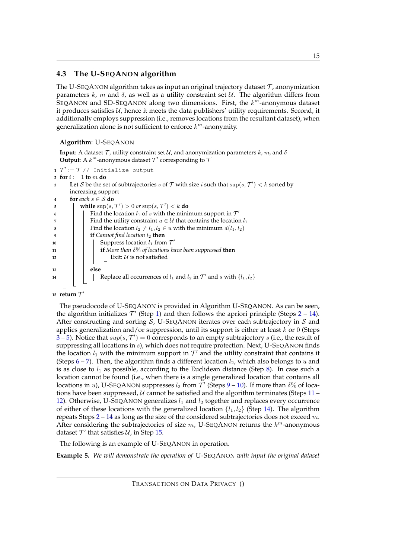## **4.3 The U-SEQANON algorithm**

The U-SEQANON algorithm takes as input an original trajectory dataset  $\mathcal T$ , anonymization parameters k, m and  $\delta$ , as well as a utility constraint set U. The algorithm differs from SEQANON and SD-SEQANON along two dimensions. First, the  $k^m$ -anonymous dataset it produces satisfies  $U$ , hence it meets the data publishers' utility requirements. Second, it additionally employs suppression (i.e., removes locations from the resultant dataset), when generalization alone is not sufficient to enforce  $k^m$ -anonymity.

#### **Algorithm**: U-SEQANON

**Input:** A dataset  $\mathcal{T}$ , utility constraint set  $\mathcal{U}$ , and anonymization parameters k, m, and  $\delta$ **Output**: A  $k^m$ -anonymous dataset  $\mathcal{T}'$  corresponding to  $\mathcal{T}'$ 

```
1 \mathcal{T}' := \mathcal{T} // Initialize output
 \mathbf{z} for i := 1 to m do
 3 \left| \right. Let S be the set of subtrajectories s of T with size i such that \sup(s, \mathcal{T}') < k sorted by
        increasing support
 4 for each s \in S do
 \textsf{b} \quad | \quad \textsf{while} \ \sup(s, \mathcal{T}') > 0 \ \textit{or} \ \sup(s, \mathcal{T}') < k \ \textsf{do}6 \begin{bmatrix} \cdot & \cdot & \cdot \\ \cdot & \cdot & \cdot \\ \cdot & \cdot & \cdot \end{bmatrix} Find the location l_1 of s with the minimum support in \mathcal{T}'7 Find the utility constraint u \in \mathcal{U} that contains the location l_18 Find the location l_2 \neq l_1, l_2 \in u with the minimum d(l_1, l_2)if Cannot find location l_2 then
10 \parallel \parallel Suppress location l_1 from \mathcal{T}'11 if More than δ% of locations have been suppressed then
12 Exit: U is not satisfied
13 else
14 \left| \begin{array}{c} | \end{array} \right| Replace all occurrences of l_1 and l_2 in \mathcal{T}' and s with \{l_1, l_2\}15 return \mathcal{T}'
```
<span id="page-15-12"></span><span id="page-15-11"></span><span id="page-15-10"></span><span id="page-15-9"></span><span id="page-15-2"></span>The pseudocode of U-SEQANON is provided in Algorithm U-SEQANON. As can be seen, the algorithm initializes  $\mathcal{T}'$  (Step [1\)](#page-15-0) and then follows the apriori principle (Steps  $2 - 14$  $2 - 14$ ). After constructing and sorting  $S$ , U-SEQANON iterates over each subtrajectory in  $S$  and applies generalization and/or suppression, until its support is either at least  $k$  or 0 (Steps  $(3-5)$  $(3-5)$  $(3-5)$  $(3-5)$ . Notice that  $sup(s, \mathcal{T}') = 0$  corresponds to an empty subtrajectory s (i.e., the result of suppressing all locations in s), which does not require protection. Next, U-SEQANON finds the location  $l_1$  with the minimum support in  $\mathcal{T}'$  and the utility constraint that contains it (Steps  $6 - 7$  $6 - 7$ ). Then, the algorithm finds a different location  $l_2$ , which also belongs to u and is as close to  $l_1$  as possible, according to the Euclidean distance (Step [8\)](#page-15-7). In case such a location cannot be found (i.e., when there is a single generalized location that contains all locations in u), U-SEQANON suppresses  $l_2$  from  $\mathcal{T}'$  (Steps [9](#page-15-8) – [10\)](#page-15-9). If more than  $\delta\%$  of locations have been suppressed,  $U$  cannot be satisfied and the algorithm terminates (Steps [11](#page-15-10) – [12\)](#page-15-11). Otherwise, U-SEQANON generalizes  $l_1$  and  $l_2$  together and replaces every occurrence of either of these locations with the generalized location  $\{l_1, l_2\}$  (Step [14\)](#page-15-2). The algorithm repeats Steps  $2 - 14$  $2 - 14$  $2 - 14$  as long as the size of the considered subtrajectories does not exceed m. After considering the subtrajectories of size  $m$ , U-SEQANON returns the  $k^m$ -anonymous dataset  $T'$  that satisfies  $U$ , in Step [15.](#page-15-12)

The following is an example of U-SEQANON in operation.

**Example 5.** *We will demonstrate the operation of* U-SEQANON *with input the original dataset*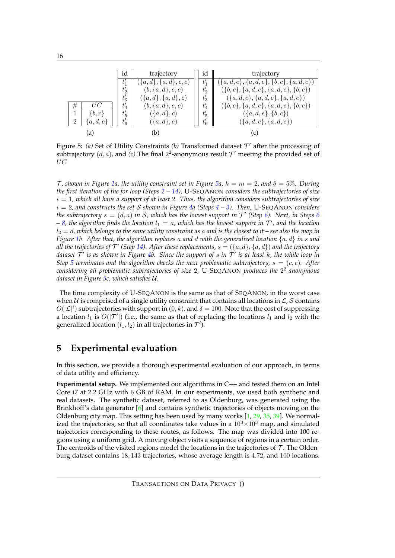<span id="page-16-1"></span>

Figure 5: (a) Set of Utility Constraints (b) Transformed dataset  $T'$  after the processing of subtrajectory  $(d, a)$ , and  $(c)$  The final  $2^2$ -anonymous result  $\mathcal{T}'$  meeting the provided set of UC

 $\mathcal{T}$ , shown in Figure [1a](#page-2-0), the utility constraint set in Figure [5a](#page-16-1),  $k = m = 2$ , and  $\delta = 5\%$ . During *the first iteration of the for loop (Steps [2](#page-15-1) – [14\)](#page-15-2),* U-SEQANON *considers the subtrajectories of size* i = 1*, which all have a support of at least* 2*. Thus, the algorithm considers subtrajectories of size* i = 2*, and constructs the set* S *shown in Figure [4a](#page-14-0) (Steps [4](#page-15-13) – [3\)](#page-15-3). Then,* U-SEQANON *considers the subtrajectory*  $s = (d, a)$  *in S, which has the lowest support in*  $\mathcal{T}'$  (Step [6\)](#page-15-5). Next, *in Steps* [6](#page-15-5)  $-$  [8,](#page-15-7) the algorithm finds the location  $l_1 = a$ , which has the lowest support in  $\mathcal{T}'$ , and the location l<sup>2</sup> = d*, which belongs to the same utility constraint as* a *and is the closest to it – see also the map in Figure [1b](#page-2-0). After that, the algorithm replaces* a *and* d *with the generalized location* {a, d} *in* s *and* all the trajectories of  $\mathcal{T}'$  (Step [14\)](#page-15-2). After these replacements,  $s = (\{a, d\}, \{a, d\})$  and the trajectory *dataset* T ′ *is as shown in Figure [4b](#page-14-0). Since the support of* s *in* T ′ *is at least* k*, the while loop in Step [5](#page-13-6) terminates and the algorithm checks the next problematic subtrajectory,*  $s = (c, e)$ *. After considering all problematic subtrajectories of size* 2*,* U-SEQANON *produces the* 2 2 *-anonymous dataset in Figure [5c](#page-16-1), which satisfies* U*.*

The time complexity of U-SEQANON is the same as that of SEQANON, in the worst case when U is comprised of a single utility constraint that contains all locations in  $\mathcal{L}$ , S contains  $O(|\mathcal{L}|^i)$  subtrajectories with support in  $(0, k)$ , and  $\delta = 100$ . Note that the cost of suppressing a location  $l_1$  is  $O(|\mathcal{T}'|)$  (i.e., the same as that of replacing the locations  $l_1$  and  $l_2$  with the generalized location  $(l_1, l_2)$  in all trajectories in  $\mathcal{T}'$ ).

# <span id="page-16-0"></span>**5 Experimental evaluation**

In this section, we provide a thorough experimental evaluation of our approach, in terms of data utility and efficiency.

**Experimental setup.** We implemented our algorithms in C++ and tested them on an Intel Core i7 at 2.2 GHz with 6 GB of RAM. In our experiments, we used both synthetic and real datasets. The synthetic dataset, referred to as Oldenburg, was generated using the Brinkhoff's data generator [\[6\]](#page-28-7) and contains synthetic trajectories of objects moving on the Oldenburg city map. This setting has been used by many works  $[1, 29, 35, 39]$  $[1, 29, 35, 39]$  $[1, 29, 35, 39]$  $[1, 29, 35, 39]$  $[1, 29, 35, 39]$  $[1, 29, 35, 39]$ . We normalized the trajectories, so that all coordinates take values in a  $10^3 \times 10^3$  map, and simulated trajectories corresponding to these routes, as follows. The map was divided into 100 regions using a uniform grid. A moving object visits a sequence of regions in a certain order. The centroids of the visited regions model the locations in the trajectories of  $\mathcal T$ . The Oldenburg dataset contains 18, 143 trajectories, whose average length is 4.72, and 100 locations.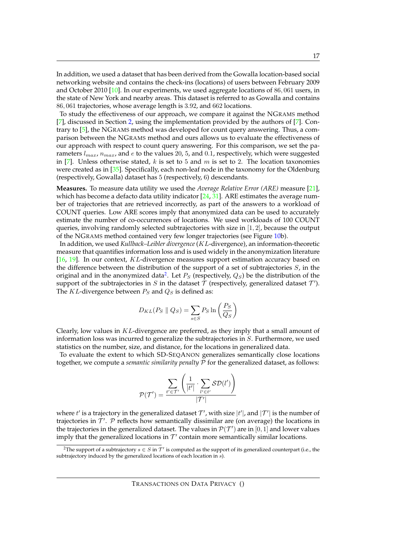In addition, we used a dataset that has been derived from the Gowalla location-based social networking website and contains the check-ins (locations) of users between February 2009 and October 2010 [\[10\]](#page-28-8). In our experiments, we used aggregate locations of  $86,061$  users, in the state of New York and nearby areas. This dataset is referred to as Gowalla and contains 86, 061 trajectories, whose average length is 3.92, and 662 locations.

To study the effectiveness of our approach, we compare it against the NGRAMS method [\[7\]](#page-28-3), discussed in Section [2,](#page-4-0) using the implementation provided by the authors of [\[7\]](#page-28-3). Contrary to [\[5\]](#page-28-2), the NGRAMS method was developed for count query answering. Thus, a comparison between the NGRAMS method and ours allows us to evaluate the effectiveness of our approach with respect to count query answering. For this comparison, we set the parameters  $l_{max}$ ,  $n_{max}$ , and  $e$  to the values 20, 5, and 0.1, respectively, which were suggested in [\[7\]](#page-28-3). Unless otherwise stated, k is set to 5 and m is set to 2. The location taxonomies were created as in  $[35]$ . Specifically, each non-leaf node in the taxonomy for the Oldenburg (respectively, Gowalla) dataset has 5 (respectively, 6) descendants.

**Measures.** To measure data utility we used the *Average Relative Error (ARE)* measure [\[21\]](#page-29-13), which has become a defacto data utility indicator  $[24, 31]$  $[24, 31]$ . ARE estimates the average number of trajectories that are retrieved incorrectly, as part of the answers to a workload of COUNT queries. Low ARE scores imply that anonymized data can be used to accurately estimate the number of co-occurrences of locations. We used workloads of 100 COUNT queries, involving randomly selected subtrajectories with size in  $[1, 2]$ , because the output of the NGRAMS method contained very few longer trajectories (see Figure [10b](#page-21-0)).

In addition, we used *Kullback–Leibler divergence* (KL-divergence), an information-theoretic measure that quantifies information loss and is used widely in the anonymization literature [\[16,](#page-29-18) [19\]](#page-29-19). In our context, KL-divergence measures support estimation accuracy based on the difference between the distribution of the support of a set of subtrajectories  $S<sub>i</sub>$ , in the original and in the anonymized data<sup>[2](#page-17-0)</sup>. Let  $P_S$  (respectively,  $Q_S$ ) be the distribution of the support of the subtrajectories in S in the dataset  $\mathcal T$  (respectively, generalized dataset  $\mathcal T'$ ). The KL-divergence between  $P_S$  and  $Q_S$  is defined as:

$$
D_{KL}(P_S \parallel Q_S) = \sum_{s \in S} P_S \ln\left(\frac{P_S}{Q_S}\right)
$$

Clearly, low values in  $KL$ -divergence are preferred, as they imply that a small amount of information loss was incurred to generalize the subtrajectories in  $S$ . Furthermore, we used statistics on the number, size, and distance, for the locations in generalized data.

To evaluate the extent to which SD-SEQANON generalizes semantically close locations together, we compute a *semantic similarity penalty* P for the generalized dataset, as follows:

$$
\mathcal{P}(\mathcal{T}') = \frac{\displaystyle\sum_{t' \in \mathcal{T}'} \left(\frac{1}{|t'|} \cdot \sum_{l' \in t'} \mathcal{SD}(l')\right)}{|\mathcal{T}'|}
$$

where  $t'$  is a trajectory in the generalized dataset  $\mathcal{T}'$ , with size  $|t'|$ , and  $|\mathcal{T}'|$  is the number of trajectories in  $\mathcal{T}'$ . P reflects how semantically dissimilar are (on average) the locations in the trajectories in the generalized dataset. The values in  $\mathcal{P}(\mathcal{T}')$  are in  $[0,1]$  and lower values imply that the generalized locations in  $\mathcal{T}'$  contain more semantically similar locations.

<span id="page-17-0"></span><sup>&</sup>lt;sup>2</sup>The support of a subtrajectory  $s \in S$  in  $\mathcal{T}'$  is computed as the support of its generalized counterpart (i.e., the subtrajectory induced by the generalized locations of each location in s).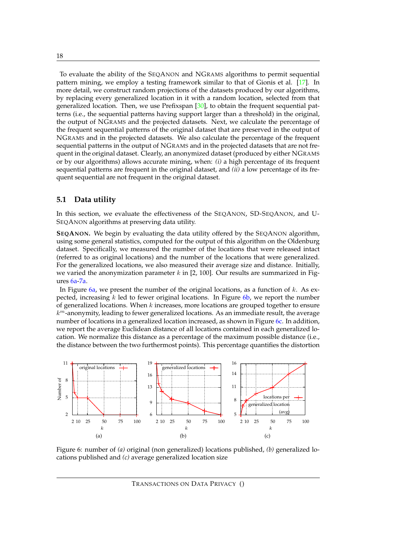To evaluate the ability of the SEQANON and NGRAMS algorithms to permit sequential pattern mining, we employ a testing framework similar to that of Gionis et al. [\[17\]](#page-29-20). In more detail, we construct random projections of the datasets produced by our algorithms, by replacing every generalized location in it with a random location, selected from that generalized location. Then, we use Prefixspan  $[30]$ , to obtain the frequent sequential patterns (i.e., the sequential patterns having support larger than a threshold) in the original, the output of NGRAMS and the projected datasets. Next, we calculate the percentage of the frequent sequential patterns of the original dataset that are preserved in the output of NGRAMS and in the projected datasets. We also calculate the percentage of the frequent sequential patterns in the output of NGRAMS and in the projected datasets that are not frequent in the original dataset. Clearly, an anonymized dataset (produced by either NGRAMS or by our algorithms) allows accurate mining, when: *(i)* a high percentage of its frequent sequential patterns are frequent in the original dataset, and *(ii)* a low percentage of its frequent sequential are not frequent in the original dataset.

#### **5.1 Data utility**

In this section, we evaluate the effectiveness of the SEQANON, SD-SEQANON, and U-SEQANON algorithms at preserving data utility.

**SEQANON.** We begin by evaluating the data utility offered by the SEQANON algorithm, using some general statistics, computed for the output of this algorithm on the Oldenburg dataset. Specifically, we measured the number of the locations that were released intact (referred to as original locations) and the number of the locations that were generalized. For the generalized locations, we also measured their average size and distance. Initially, we varied the anonymization parameter k in [2, 100]. Our results are summarized in Figures [6a-](#page-18-0)[7a.](#page-19-0)

In Figure [6a,](#page-18-0) we present the number of the original locations, as a function of  $k$ . As expected, increasing  $k$  led to fewer original locations. In Figure [6b,](#page-18-1) we report the number of generalized locations. When  $k$  increases, more locations are grouped together to ensure  $k^m$ -anonymity, leading to fewer generalized locations. As an immediate result, the average number of locations in a generalized location increased, as shown in Figure [6c.](#page-18-2) In addition, we report the average Euclidean distance of all locations contained in each generalized location. We normalize this distance as a percentage of the maximum possible distance (i.e., the distance between the two furthermost points). This percentage quantifies the distortion



<span id="page-18-2"></span><span id="page-18-1"></span><span id="page-18-0"></span>Figure 6: number of *(a)* original (non generalized) locations published, *(b)* generalized locations published and *(c)* average generalized location size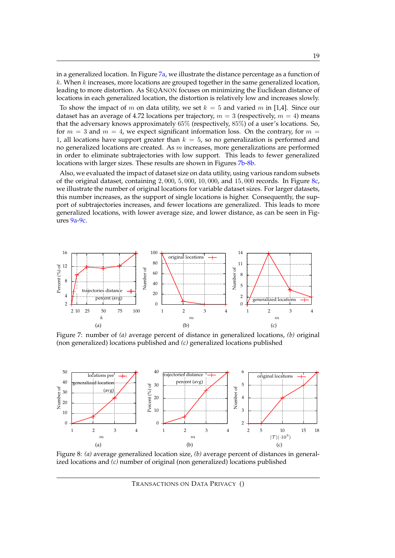in a generalized location. In Figure [7a,](#page-19-0) we illustrate the distance percentage as a function of  $k$ . When  $k$  increases, more locations are grouped together in the same generalized location, leading to more distortion. As SEQANON focuses on minimizing the Euclidean distance of locations in each generalized location, the distortion is relatively low and increases slowly.

To show the impact of m on data utility, we set  $k = 5$  and varied m in [1,4]. Since our dataset has an average of 4.72 locations per trajectory,  $m = 3$  (respectively,  $m = 4$ ) means that the adversary knows approximately 65% (respectively, 85%) of a user's locations. So, for  $m = 3$  and  $m = 4$ , we expect significant information loss. On the contrary, for  $m =$ 1, all locations have support greater than  $k = 5$ , so no generalization is performed and no generalized locations are created. As  $m$  increases, more generalizations are performed in order to eliminate subtrajectories with low support. This leads to fewer generalized locations with larger sizes. These results are shown in Figures [7b](#page-19-1)[-8b.](#page-19-2)

Also, we evaluated the impact of dataset size on data utility, using various random subsets of the original dataset, containing  $2,000$ ,  $5,000$ ,  $10,000$ , and  $15,000$  records. In Figure  $8c$ , we illustrate the number of original locations for variable dataset sizes. For larger datasets, this number increases, as the support of single locations is higher. Consequently, the support of subtrajectories increases, and fewer locations are generalized. This leads to more generalized locations, with lower average size, and lower distance, as can be seen in Figures [9a-](#page-20-0)[9c.](#page-20-1)



<span id="page-19-1"></span><span id="page-19-0"></span>Figure 7: number of *(a)* average percent of distance in generalized locations, *(b)* original (non generalized) locations published and *(c)* generalized locations published



Figure 8: *(a)* average generalized location size, *(b)* average percent of distances in generalized locations and *(c)* number of original (non generalized) locations published

<span id="page-19-3"></span><span id="page-19-2"></span>TRANSACTIONS ON DATA PRIVACY ()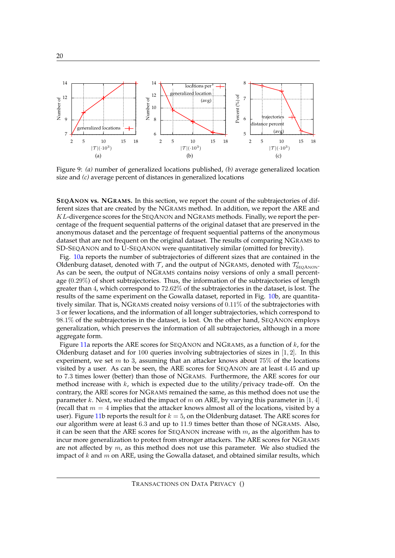

<span id="page-20-1"></span><span id="page-20-0"></span>Figure 9: *(a)* number of generalized locations published, *(b)* average generalized location size and *(c)* average percent of distances in generalized locations

**SEQANON vs. NGRAMS.** In this section, we report the count of the subtrajectories of different sizes that are created by the NGRAMS method. In addition, we report the ARE and KL-divergence scores for the SEQANON and NGRAMS methods. Finally, we report the percentage of the frequent sequential patterns of the original dataset that are preserved in the anonymous dataset and the percentage of frequent sequential patterns of the anonymous dataset that are not frequent on the original dataset. The results of comparing NGRAMS to SD-SEQANON and to U-SEQANON were quantitatively similar (omitted for brevity).

Fig. [10a](#page-21-0) reports the number of subtrajectories of different sizes that are contained in the Oldenburg dataset, denoted with  $\mathcal{T}$ , and the output of NGRAMS, denoted with  $\mathcal{T}'_{\text{SEQANON}}$ . As can be seen, the output of NGRAMS contains noisy versions of only a small percentage (0.29%) of short subtrajectories. Thus, the information of the subtrajectories of length greater than 4, which correspond to 72.62% of the subtrajectories in the dataset, is lost. The results of the same experiment on the Gowalla dataset, reported in Fig. [10b](#page-21-0), are quantitatively similar. That is, NGRAMS created noisy versions of 0.11% of the subtrajectories with 3 or fewer locations, and the information of all longer subtrajectories, which correspond to 98.1% of the subtrajectories in the dataset, is lost. On the other hand, SEQANON employs generalization, which preserves the information of all subtrajectories, although in a more aggregate form.

Figure [11a](#page-22-0) reports the ARE scores for SEQANON and NGRAMS, as a function of  $k$ , for the Oldenburg dataset and for 100 queries involving subtrajectories of sizes in  $[1, 2]$ . In this experiment, we set  $m$  to 3, assuming that an attacker knows about 75% of the locations visited by a user. As can be seen, the ARE scores for SEQANON are at least 4.45 and up to 7.3 times lower (better) than those of NGRAMS. Furthermore, the ARE scores for our method increase with  $k$ , which is expected due to the utility/privacy trade-off. On the contrary, the ARE scores for NGRAMS remained the same, as this method does not use the parameter k. Next, we studied the impact of m on ARE, by varying this parameter in [1, 4] (recall that  $m = 4$  implies that the attacker knows almost all of the locations, visited by a user). Figure [11b](#page-22-0) reports the result for  $k = 5$ , on the Oldenburg dataset. The ARE scores for our algorithm were at least 6.3 and up to 11.9 times better than those of NGRAMS. Also, it can be seen that the ARE scores for SEQANON increase with  $m$ , as the algorithm has to incur more generalization to protect from stronger attackers. The ARE scores for NGRAMS are not affected by  $m$ , as this method does not use this parameter. We also studied the impact of  $k$  and  $m$  on ARE, using the Gowalla dataset, and obtained similar results, which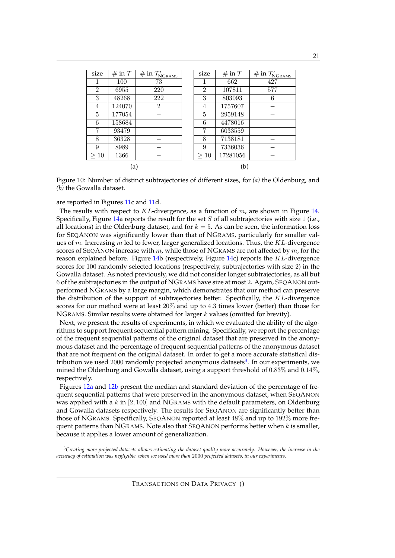<span id="page-21-0"></span>

| size           | # in ${\cal T}$ | $\overline{\# \text{ in } \mathcal{T}'_{\text{NGRAMS}} }$ | size           | # in $\mathcal T$ | $\overline{\# \text{ in } \mathcal{T}'_{\text{NGRAMS}} }$ |
|----------------|-----------------|-----------------------------------------------------------|----------------|-------------------|-----------------------------------------------------------|
|                | 100             | 73                                                        | 1              | 662               | 427                                                       |
| $\overline{2}$ | 6955            | 220                                                       | $\overline{2}$ | 107811            | 577                                                       |
| 3              | 48268           | 222                                                       | 3              | 803093            | 6                                                         |
| 4              | 124070          | $\overline{2}$                                            | 4              | 1757607           |                                                           |
| 5              | 177054          |                                                           | 5              | 2959148           |                                                           |
| 6              | 158684          |                                                           | 6              | 4478016           |                                                           |
| 7              | 93479           |                                                           | 7              | 6033559           |                                                           |
| 8              | 36328           |                                                           | 8              | 7138181           |                                                           |
| 9              | 8989            |                                                           | 9              | 7336036           |                                                           |
| $\geq 10$      | 1366            |                                                           | $\geq 10$      | 17281056          |                                                           |
|                | (a)             |                                                           |                | (b)               |                                                           |

Figure 10: Number of distinct subtrajectories of different sizes, for *(a)* the Oldenburg, and *(b)* the Gowalla dataset.

are reported in Figures [11c](#page-22-0) and [11d](#page-22-0).

The results with respect to  $KL$ -divergence, as a function of  $m$ , are shown in Figure [14.](#page-24-0) Specifically, Figure [14a](#page-24-0) reports the result for the set  $S$  of all subtrajectories with size 1 (i.e., all locations) in the Oldenburg dataset, and for  $k = 5$ . As can be seen, the information loss for SEQANON was significantly lower than that of NGRAMS, particularly for smaller values of m. Increasing m led to fewer, larger generalized locations. Thus, the  $KL$ -divergence scores of SEOANON increase with m, while those of NGRAMS are not affected by  $m$ , for the reason explained before. Figure [14b](#page-24-0) (respectively, Figure [14c](#page-24-0)) reports the KL-divergence scores for 100 randomly selected locations (respectively, subtrajectories with size 2) in the Gowalla dataset. As noted previously, we did not consider longer subtrajectories, as all but 6 of the subtrajectories in the output of NGRAMS have size at most 2. Again, SEQANON outperformed NGRAMS by a large margin, which demonstrates that our method can preserve the distribution of the support of subtrajectories better. Specifically, the  $KL$ -divergence scores for our method were at least 20% and up to 4.3 times lower (better) than those for NGRAMS. Similar results were obtained for larger  $k$  values (omitted for brevity).

Next, we present the results of experiments, in which we evaluated the ability of the algorithms to support frequent sequential pattern mining. Specifically, we report the percentage of the frequent sequential patterns of the original dataset that are preserved in the anonymous dataset and the percentage of frequent sequential patterns of the anonymous dataset that are not frequent on the original dataset. In order to get a more accurate statistical dis-tribution we used 2000 randomly projected anonymous datasets<sup>[3](#page-21-1)</sup>. In our experiments, we mined the Oldenburg and Gowalla dataset, using a support threshold of 0.83% and 0.14%, respectively.

Figures [12a](#page-23-0) and [12b](#page-23-1) present the median and standard deviation of the percentage of frequent sequential patterns that were preserved in the anonymous dataset, when SEQANON was applied with a  $k$  in [2, 100] and NGRAMS with the default parameters, on Oldenburg and Gowalla datasets respectively. The results for SEQANON are significantly better than those of NGRAMS. Specifically, SEQANON reported at least 48% and up to 192% more frequent patterns than NGRAMS. Note also that SEQANON performs better when  $k$  is smaller, because it applies a lower amount of generalization.

<span id="page-21-1"></span><sup>3</sup>*Creating more projected datasets allows estimating the dataset quality more accurately. However, the increase in the accuracy of estimation was negligible, when we used more than* 2000 *projected datasets, in our experiments.*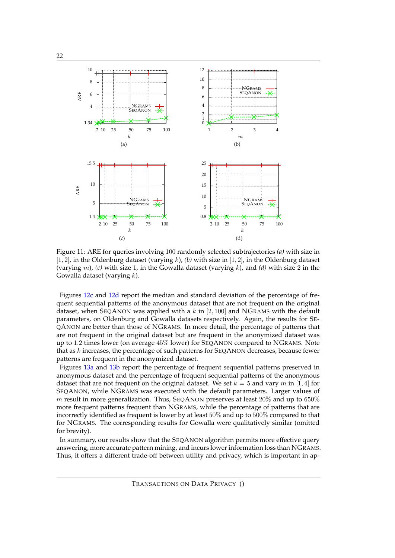<span id="page-22-0"></span>

Figure 11: ARE for queries involving 100 randomly selected subtrajectories *(a)* with size in  $[1, 2]$ , in the Oldenburg dataset (varying k), *(b)* with size in  $[1, 2]$ , in the Oldenburg dataset (varying m), *(c)* with size 1, in the Gowalla dataset (varying k), and *(d)* with size 2 in the Gowalla dataset (varying  $k$ ).

Figures [12c](#page-23-2) and [12d](#page-23-3) report the median and standard deviation of the percentage of frequent sequential patterns of the anonymous dataset that are not frequent on the original dataset, when SEQANON was applied with a  $k$  in [2, 100] and NGRAMS with the default parameters, on Oldenburg and Gowalla datasets respectively. Again, the results for SE-QANON are better than those of NGRAMS. In more detail, the percentage of patterns that are not frequent in the original dataset but are frequent in the anonymized dataset was up to 1.2 times lower (on average 45% lower) for SEQANON compared to NGRAMS. Note that as  $k$  increases, the percentage of such patterns for  $Seq$ ANON decreases, because fewer patterns are frequent in the anonymized dataset.

Figures [13a](#page-23-4) and [13b](#page-23-5) report the percentage of frequent sequential patterns preserved in anonymous dataset and the percentage of frequent sequential patterns of the anonymous dataset that are not frequent on the original dataset. We set  $k = 5$  and vary m in [1, 4] for SEQANON, while NGRAMS was executed with the default parameters. Larger values of m result in more generalization. Thus, SEQANON preserves at least 20% and up to  $650\%$ more frequent patterns frequent than NGRAMS, while the percentage of patterns that are incorrectly identified as frequent is lower by at least 50% and up to 500% compared to that for NGRAMS. The corresponding results for Gowalla were qualitatively similar (omitted for brevity).

In summary, our results show that the SEQANON algorithm permits more effective query answering, more accurate pattern mining, and incurs lower information loss than NGRAMS. Thus, it offers a different trade-off between utility and privacy, which is important in ap-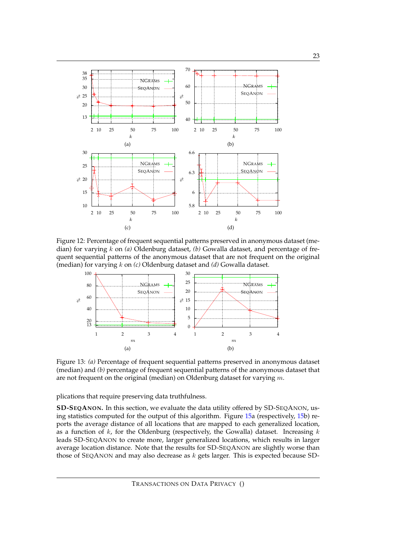<span id="page-23-1"></span><span id="page-23-0"></span>

<span id="page-23-2"></span>Figure 12: Percentage of frequent sequential patterns preserved in anonymous dataset (median) for varying k on *(a)* Oldenburg dataset, *(b)* Gowalla dataset, and percentage of frequent sequential patterns of the anonymous dataset that are not frequent on the original (median) for varying k on *(c)* Oldenburg dataset and *(d)* Gowalla dataset.

<span id="page-23-3"></span>

<span id="page-23-5"></span><span id="page-23-4"></span>Figure 13: *(a)* Percentage of frequent sequential patterns preserved in anonymous dataset (median) and *(b)* percentage of frequent sequential patterns of the anonymous dataset that are not frequent on the original (median) on Oldenburg dataset for varying  $m$ .

plications that require preserving data truthfulness.

**SD-SEQANON.** In this section, we evaluate the data utility offered by SD-SEQANON, using statistics computed for the output of this algorithm. Figure [15a](#page-24-1) (respectively, [15b](#page-24-1)) reports the average distance of all locations that are mapped to each generalized location, as a function of  $k$ , for the Oldenburg (respectively, the Gowalla) dataset. Increasing  $k$ leads SD-SEQANON to create more, larger generalized locations, which results in larger average location distance. Note that the results for SD-SEQANON are slightly worse than those of SEQANON and may also decrease as  $k$  gets larger. This is expected because SD-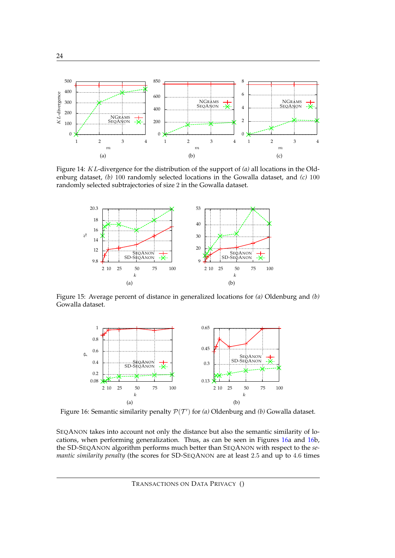<span id="page-24-0"></span>

Figure 14: KL-divergence for the distribution of the support of *(a)* all locations in the Oldenburg dataset, *(b)* 100 randomly selected locations in the Gowalla dataset, and *(c)* 100 randomly selected subtrajectories of size 2 in the Gowalla dataset.

<span id="page-24-1"></span>

<span id="page-24-2"></span>Figure 15: Average percent of distance in generalized locations for *(a)* Oldenburg and *(b)* Gowalla dataset.



Figure 16: Semantic similarity penalty  $P(T')$  for *(a)* Oldenburg and *(b)* Gowalla dataset.

SEQANON takes into account not only the distance but also the semantic similarity of locations, when performing generalization. Thus, as can be seen in Figures [16a](#page-24-2) and [16b](#page-24-2), the SD-SEQANON algorithm performs much better than SEQANON with respect to the *semantic similarity penalty* (the scores for SD-SEQANON are at least 2.5 and up to 4.6 times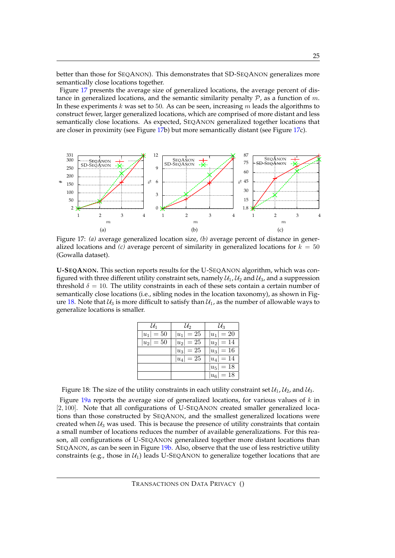better than those for SEQANON). This demonstrates that SD-SEQANON generalizes more semantically close locations together.

Figure [17](#page-25-0) presents the average size of generalized locations, the average percent of distance in generalized locations, and the semantic similarity penalty  $P$ , as a function of m. In these experiments  $k$  was set to 50. As can be seen, increasing  $m$  leads the algorithms to construct fewer, larger generalized locations, which are comprised of more distant and less semantically close locations. As expected, SEQANON generalized together locations that are closer in proximity (see Figure [17b](#page-25-0)) but more semantically distant (see Figure [17c](#page-25-0)).

<span id="page-25-0"></span>

Figure 17: *(a)* average generalized location size, *(b)* average percent of distance in generalized locations and *(c)* average percent of similarity in generalized locations for  $k = 50$ (Gowalla dataset).

<span id="page-25-1"></span>**U-SEQANON.** This section reports results for the U-SEQANON algorithm, which was configured with three different utility constraint sets, namely  $\mathcal{U}_1$ ,  $\mathcal{U}_2$  and  $\mathcal{U}_3$ , and a suppression threshold  $\delta = 10$ . The utility constraints in each of these sets contain a certain number of semantically close locations (i.e., sibling nodes in the location taxonomy), as shown in Fig-ure [18.](#page-25-1) Note that  $\mathcal{U}_3$  is more difficult to satisfy than  $\mathcal{U}_1$ , as the number of allowable ways to generalize locations is smaller.

| $\mathcal{U}_1$ | $\mathcal{U}_2$ | $\mathcal{U}_3$ |
|-----------------|-----------------|-----------------|
| $ u_1 =50$      | $ u_1 =25$      | $ u_1 =20$      |
| $ u_2 =50$      | $ u_2 =25$      | $ u_2 =14$      |
|                 | $ u_3 =25$      | $ u_3 =16$      |
|                 | $ u_4  = 25$    | $ u_4 =14$      |
|                 |                 | $ u_5 =18$      |
|                 |                 | $ u_6 =18$      |

Figure 18: The size of the utility constraints in each utility constraint set  $\mathcal{U}_1$ ,  $\mathcal{U}_2$ , and  $\mathcal{U}_3$ .

Figure  $19a$  reports the average size of generalized locations, for various values of  $k$  in [2, 100]. Note that all configurations of U-SEQANON created smaller generalized locations than those constructed by SEQANON, and the smallest generalized locations were created when  $U_3$  was used. This is because the presence of utility constraints that contain a small number of locations reduces the number of available generalizations. For this reason, all configurations of U-SEQANON generalized together more distant locations than SEQANON, as can be seen in Figure [19b.](#page-26-1) Also, observe that the use of less restrictive utility constraints (e.g., those in  $\mathcal{U}_1$ ) leads U-SEQANON to generalize together locations that are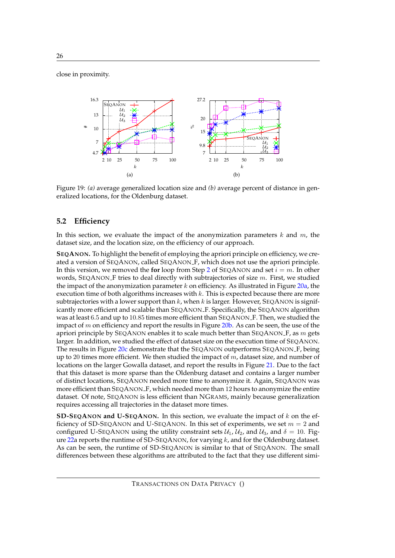close in proximity.



<span id="page-26-1"></span><span id="page-26-0"></span>Figure 19: *(a)* average generalized location size and *(b)* average percent of distance in generalized locations, for the Oldenburg dataset.

#### **5.2 Efficiency**

In this section, we evaluate the impact of the anonymization parameters  $k$  and  $m$ , the dataset size, and the location size, on the efficiency of our approach.

**SEQANON.** To highlight the benefit of employing the apriori principle on efficiency, we created a version of SEQANON, called SEQANON F, which does not use the apriori principle. In this version, we removed the **for** loop from Step [2](#page-13-1) of SEQANON and set  $i = m$ . In other words, SEQANON F tries to deal directly with subtrajectories of size  $m$ . First, we studied the impact of the anonymization parameter k on efficiency. As illustrated in Figure [20a,](#page-27-0) the execution time of both algorithms increases with  $k$ . This is expected because there are more subtrajectories with a lower support than  $k$ , when  $k$  is larger. However, SEQANON is significantly more efficient and scalable than SEQANON F. Specifically, the SEQANON algorithm was at least 6.5 and up to 10.85 times more efficient than SEQANON F. Then, we studied the impact of  $m$  on efficiency and report the results in Figure [20b.](#page-27-1) As can be seen, the use of the apriori principle by SEQANON enables it to scale much better than SEQANON  $F$ , as m gets larger. In addition, we studied the effect of dataset size on the execution time of SEQANON. The results in Figure [20c](#page-27-2) demonstrate that the SEQANON outperforms SEQANON F, being up to 20 times more efficient. We then studied the impact of  $m$ , dataset size, and number of locations on the larger Gowalla dataset, and report the results in Figure [21.](#page-27-3) Due to the fact that this dataset is more sparse than the Oldenburg dataset and contains a larger number of distinct locations, SEQANON needed more time to anonymize it. Again, SEQANON was more efficient than SEQANON F, which needed more than 12 hours to anonymize the entire dataset. Of note, SEQANON is less efficient than NGRAMS, mainly because generalization requires accessing all trajectories in the dataset more times.

**SD-SEQANON and U-SEQANON.** In this section, we evaluate the impact of k on the efficiency of SD-SEQANON and U-SEQANON. In this set of experiments, we set  $m = 2$  and configured U-SEQANON using the utility constraint sets  $U_1$ ,  $U_2$ , and  $U_3$ , and  $\delta = 10$ . Fig-ure [22a](#page-27-4) reports the runtime of SD-SEQANON, for varying  $k$ , and for the Oldenburg dataset. As can be seen, the runtime of SD-SEQANON is similar to that of SEQANON. The small differences between these algorithms are attributed to the fact that they use different simi-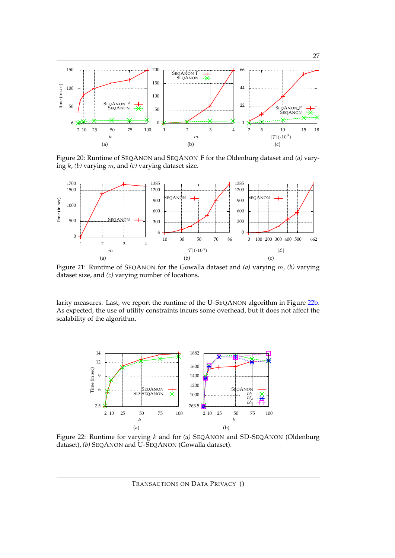

<span id="page-27-2"></span><span id="page-27-1"></span><span id="page-27-0"></span>Figure 20: Runtime of SEQANON and SEQANON F for the Oldenburg dataset and *(a)* varying k, *(b)* varying m, and *(c)* varying dataset size.

<span id="page-27-3"></span>

Figure 21: Runtime of SEQANON for the Gowalla dataset and *(a)* varying m, *(b)* varying dataset size, and *(c)* varying number of locations.

larity measures. Last, we report the runtime of the U-SEQANON algorithm in Figure [22b.](#page-27-5) As expected, the use of utility constraints incurs some overhead, but it does not affect the scalability of the algorithm.

<span id="page-27-4"></span>

Figure 22: Runtime for varying k and for *(a)* SEQANON and SD-SEQANON (Oldenburg dataset), *(b)* SEQANON and U-SEQANON (Gowalla dataset).

<span id="page-27-5"></span>TRANSACTIONS ON DATA PRIVACY ()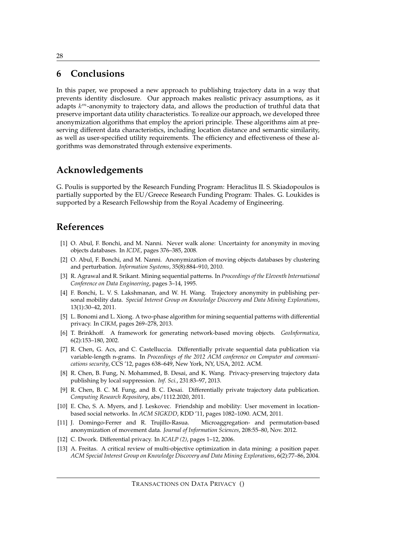# <span id="page-28-9"></span>**6 Conclusions**

In this paper, we proposed a new approach to publishing trajectory data in a way that prevents identity disclosure. Our approach makes realistic privacy assumptions, as it adapts  $k^m$ -anonymity to trajectory data, and allows the production of truthful data that preserve important data utility characteristics. To realize our approach, we developed three anonymization algorithms that employ the apriori principle. These algorithms aim at preserving different data characteristics, including location distance and semantic similarity, as well as user-specified utility requirements. The efficiency and effectiveness of these algorithms was demonstrated through extensive experiments.

# **Acknowledgements**

G. Poulis is supported by the Research Funding Program: Heraclitus II. S. Skiadopoulos is partially supported by the EU/Greece Research Funding Program: Thales. G. Loukides is supported by a Research Fellowship from the Royal Academy of Engineering.

# **References**

- <span id="page-28-0"></span>[1] O. Abul, F. Bonchi, and M. Nanni. Never walk alone: Uncertainty for anonymity in moving objects databases. In *ICDE*, pages 376–385, 2008.
- <span id="page-28-1"></span>[2] O. Abul, F. Bonchi, and M. Nanni. Anonymization of moving objects databases by clustering and perturbation. *Information Systems*, 35(8):884–910, 2010.
- <span id="page-28-6"></span>[3] R. Agrawal and R. Srikant. Mining sequential patterns. In *Proceedings of the Eleventh International Conference on Data Engineering*, pages 3–14, 1995.
- <span id="page-28-10"></span>[4] F. Bonchi, L. V. S. Lakshmanan, and W. H. Wang. Trajectory anonymity in publishing personal mobility data. *Special Interest Group on Knowledge Discovery and Data Mining Explorations*, 13(1):30–42, 2011.
- <span id="page-28-2"></span>[5] L. Bonomi and L. Xiong. A two-phase algorithm for mining sequential patterns with differential privacy. In *CIKM*, pages 269–278, 2013.
- <span id="page-28-7"></span>[6] T. Brinkhoff. A framework for generating network-based moving objects. *GeoInformatica*, 6(2):153–180, 2002.
- <span id="page-28-3"></span>[7] R. Chen, G. Acs, and C. Castelluccia. Differentially private sequential data publication via variable-length n-grams. In *Proceedings of the 2012 ACM conference on Computer and communications security*, CCS '12, pages 638–649, New York, NY, USA, 2012. ACM.
- <span id="page-28-12"></span>[8] R. Chen, B. Fung, N. Mohammed, B. Desai, and K. Wang. Privacy-preserving trajectory data publishing by local suppression. *Inf. Sci.*, 231:83–97, 2013.
- <span id="page-28-4"></span>[9] R. Chen, B. C. M. Fung, and B. C. Desai. Differentially private trajectory data publication. *Computing Research Repository*, abs/1112.2020, 2011.
- <span id="page-28-8"></span>[10] E. Cho, S. A. Myers, and J. Leskovec. Friendship and mobility: User movement in locationbased social networks. In *ACM SIGKDD*, KDD '11, pages 1082–1090. ACM, 2011.
- <span id="page-28-11"></span>[11] J. Domingo-Ferrer and R. Trujillo-Rasua. Microaggregation- and permutation-based anonymization of movement data. *Journal of Information Sciences*, 208:55–80, Nov. 2012.
- <span id="page-28-5"></span>[12] C. Dwork. Differential privacy. In *ICALP (2)*, pages 1–12, 2006.
- <span id="page-28-13"></span>[13] A. Freitas. A critical review of multi-objective optimization in data mining: a position paper. *ACM Special Interest Group on Knowledge Discovery and Data Mining Explorations*, 6(2):77–86, 2004.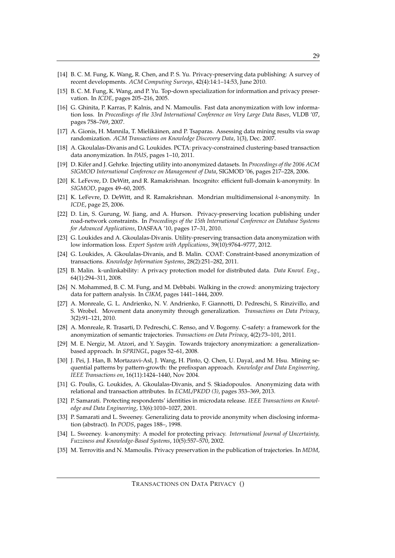- <span id="page-29-10"></span>[14] B. C. M. Fung, K. Wang, R. Chen, and P. S. Yu. Privacy-preserving data publishing: A survey of recent developments. *ACM Computing Surveys*, 42(4):14:1–14:53, June 2010.
- <span id="page-29-11"></span>[15] B. C. M. Fung, K. Wang, and P. Yu. Top-down specialization for information and privacy preservation. In *ICDE*, pages 205–216, 2005.
- <span id="page-29-18"></span>[16] G. Ghinita, P. Karras, P. Kalnis, and N. Mamoulis. Fast data anonymization with low information loss. In *Proceedings of the 33rd International Conference on Very Large Data Bases*, VLDB '07, pages 758–769, 2007.
- <span id="page-29-20"></span>[17] A. Gionis, H. Mannila, T. Mielikainen, and P. Tsaparas. Assessing data mining results via swap ¨ randomization. *ACM Transactions on Knowledge Discovery Data*, 1(3), Dec. 2007.
- <span id="page-29-3"></span>[18] A. Gkoulalas-Divanis and G. Loukides. PCTA: privacy-constrained clustering-based transaction data anonymization. In *PAIS*, pages 1–10, 2011.
- <span id="page-29-19"></span>[19] D. Kifer and J. Gehrke. Injecting utility into anonymized datasets. In *Proceedings of the 2006 ACM SIGMOD International Conference on Management of Data*, SIGMOD '06, pages 217–228, 2006.
- <span id="page-29-12"></span>[20] K. LeFevre, D. DeWitt, and R. Ramakrishnan. Incognito: efficient full-domain k-anonymity. In *SIGMOD*, pages 49–60, 2005.
- <span id="page-29-13"></span>[21] K. LeFevre, D. DeWitt, and R. Ramakrishnan. Mondrian multidimensional  $k$ -anonymity. In *ICDE*, page 25, 2006.
- <span id="page-29-15"></span>[22] D. Lin, S. Gurung, W. Jiang, and A. Hurson. Privacy-preserving location publishing under road-network constraints. In *Proceedings of the 15th International Conference on Database Systems for Advanced Applications*, DASFAA '10, pages 17–31, 2010.
- <span id="page-29-14"></span>[23] G. Loukides and A. Gkoulalas-Divanis. Utility-preserving transaction data anonymization with low information loss. *Expert System with Applications*, 39(10):9764–9777, 2012.
- <span id="page-29-4"></span>[24] G. Loukides, A. Gkoulalas-Divanis, and B. Malin. COAT: Constraint-based anonymization of transactions. *Knowledge Information Systems*, 28(2):251–282, 2011.
- <span id="page-29-16"></span>[25] B. Malin. k-unlinkability: A privacy protection model for distributed data. *Data Knowl. Eng.*, 64(1):294–311, 2008.
- <span id="page-29-5"></span>[26] N. Mohammed, B. C. M. Fung, and M. Debbabi. Walking in the crowd: anonymizing trajectory data for pattern analysis. In *CIKM*, pages 1441–1444, 2009.
- <span id="page-29-8"></span>[27] A. Monreale, G. L. Andrienko, N. V. Andrienko, F. Giannotti, D. Pedreschi, S. Rinzivillo, and S. Wrobel. Movement data anonymity through generalization. *Transactions on Data Privacy*, 3(2):91–121, 2010.
- <span id="page-29-9"></span>[28] A. Monreale, R. Trasarti, D. Pedreschi, C. Renso, and V. Bogorny. C-safety: a framework for the anonymization of semantic trajectories. *Transactions on Data Privacy*, 4(2):73–101, 2011.
- <span id="page-29-6"></span>[29] M. E. Nergiz, M. Atzori, and Y. Saygin. Towards trajectory anonymization: a generalizationbased approach. In *SPRINGL*, pages 52–61, 2008.
- <span id="page-29-21"></span>[30] J. Pei, J. Han, B. Mortazavi-Asl, J. Wang, H. Pinto, Q. Chen, U. Dayal, and M. Hsu. Mining sequential patterns by pattern-growth: the prefixspan approach. *Knowledge and Data Engineering, IEEE Transactions on*, 16(11):1424–1440, Nov 2004.
- <span id="page-29-17"></span>[31] G. Poulis, G. Loukides, A. Gkoulalas-Divanis, and S. Skiadopoulos. Anonymizing data with relational and transaction attributes. In *ECML/PKDD (3)*, pages 353–369, 2013.
- <span id="page-29-1"></span>[32] P. Samarati. Protecting respondents' identities in microdata release. *IEEE Transactions on Knowledge and Data Engineering*, 13(6):1010–1027, 2001.
- <span id="page-29-0"></span>[33] P. Samarati and L. Sweeney. Generalizing data to provide anonymity when disclosing information (abstract). In *PODS*, pages 188–, 1998.
- <span id="page-29-2"></span>[34] L. Sweeney. k-anonymity: A model for protecting privacy. *International Journal of Uncertainty, Fuzziness and Knowledge-Based Systems*, 10(5):557–570, 2002.
- <span id="page-29-7"></span>[35] M. Terrovitis and N. Mamoulis. Privacy preservation in the publication of trajectories. In *MDM*,